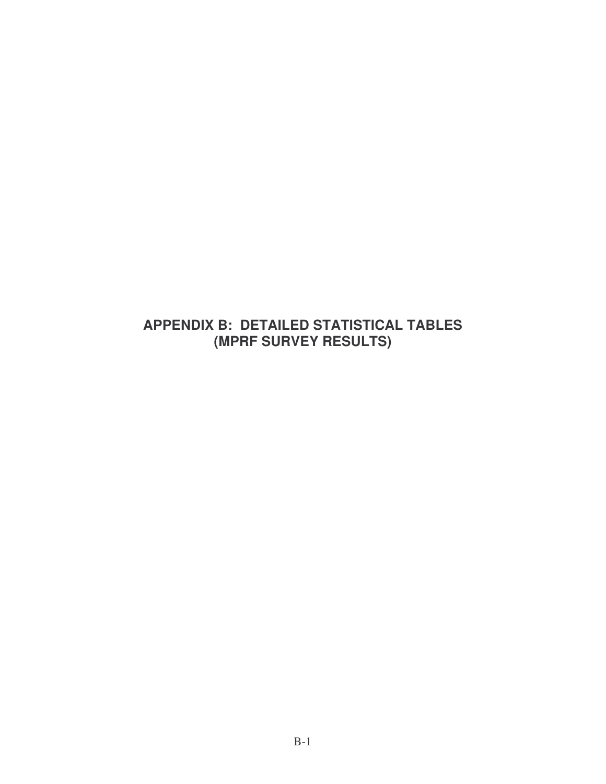## **APPENDIX B: DETAILED STATISTICAL TABLES (MPRF SURVEY RESULTS)**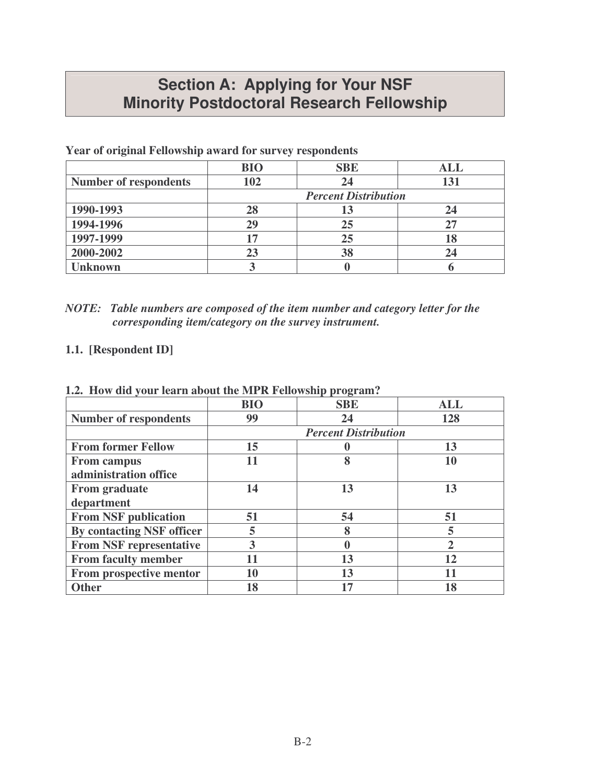## **Section A: Applying for Your NSF Minority Postdoctoral Research Fellowship**

| o                            |            |                             |            |
|------------------------------|------------|-----------------------------|------------|
|                              | <b>BIO</b> | <b>SBE</b>                  | <b>ALL</b> |
| <b>Number of respondents</b> | 102        | 24                          | 131        |
|                              |            | <b>Percent Distribution</b> |            |
| 1990-1993                    | 28         | 13                          | 24         |
| 1994-1996                    | 29         | 25                          |            |
| 1997-1999                    | 17         | 25                          | 18         |
| 2000-2002                    | 23         | 38                          |            |
| Jnknown                      |            |                             |            |

**Year of original Fellowship award for survey respondents**

| NOTE: Table numbers are composed of the item number and category letter for the |
|---------------------------------------------------------------------------------|
| corresponding item/category on the survey instrument.                           |

## **1.1. [Respondent ID]**

|                                | <b>BIO</b> | <b>SBE</b>                  | ALL            |
|--------------------------------|------------|-----------------------------|----------------|
| <b>Number of respondents</b>   | 99         | 24                          | 128            |
|                                |            | <b>Percent Distribution</b> |                |
| <b>From former Fellow</b>      | 15         |                             | 13             |
| <b>From campus</b>             |            | 8                           | 10             |
| administration office          |            |                             |                |
| <b>From graduate</b>           | 14         | 13                          | 13             |
| department                     |            |                             |                |
| <b>From NSF publication</b>    | 51         | 54                          | 51             |
| By contacting NSF officer      | 5          | 8                           | 5              |
| <b>From NSF representative</b> | 3          |                             | $\overline{2}$ |
| <b>From faculty member</b>     |            | 13                          | 12             |
| From prospective mentor        | 10         | 13                          | 11             |
| <b>Other</b>                   | 18         | 17                          | 18             |

**1.2. How did your learn about the MPR Fellowship program?**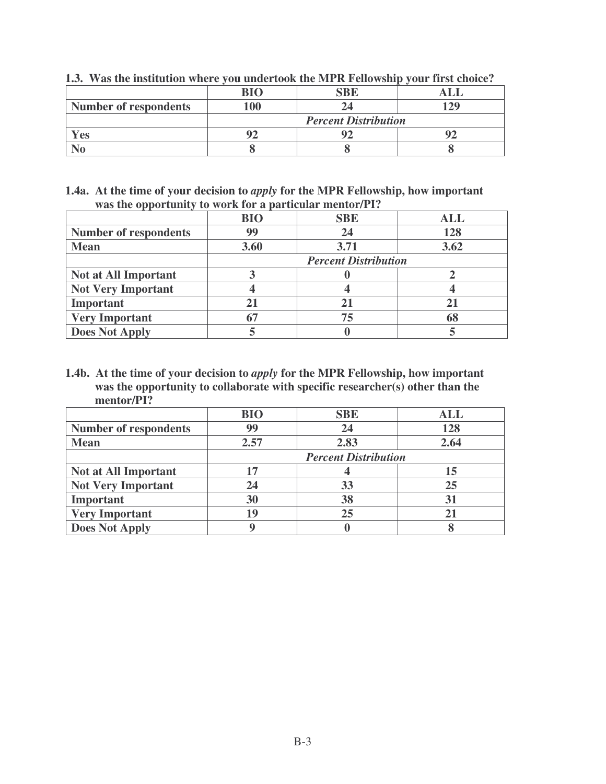|                              | $\mathbf{R}$ I $\Omega$ | <b>SBE</b>                  |  |
|------------------------------|-------------------------|-----------------------------|--|
| <b>Number of respondents</b> | 00                      |                             |  |
|                              |                         | <b>Percent Distribution</b> |  |
| Yes                          |                         |                             |  |
|                              |                         |                             |  |

**1.3. Was the institution where you undertook the MPR Fellowship your first choice?**

**1.4a. At the time of your decision to** *apply* **for the MPR Fellowship, how important was the opportunity to work for a particular mentor/PI?**

|                              | <b>BIO</b>                  | <b>SBE</b> | <b>ALL</b> |
|------------------------------|-----------------------------|------------|------------|
| <b>Number of respondents</b> | 99                          | 24         | 128        |
| <b>Mean</b>                  | 3.60                        | 3.71       | 3.62       |
|                              | <b>Percent Distribution</b> |            |            |
| <b>Not at All Important</b>  |                             |            |            |
| <b>Not Very Important</b>    |                             |            |            |
| Important                    |                             |            |            |
| <b>Very Important</b>        |                             | 75         |            |
| <b>Does Not Apply</b>        |                             |            |            |

**1.4b. At the time of your decision to** *apply* **for the MPR Fellowship, how important was the opportunity to collaborate with specific researcher(s) other than the mentor/PI?**

|                              | <b>BIO</b> | <b>SBE</b>                  | <b>ALL</b> |
|------------------------------|------------|-----------------------------|------------|
| <b>Number of respondents</b> | 99         | 24                          | 128        |
| <b>Mean</b>                  | 2.57       | 2.83                        | 2.64       |
|                              |            | <b>Percent Distribution</b> |            |
| <b>Not at All Important</b>  | 17         |                             | 15         |
| <b>Not Very Important</b>    | 24         | 33                          | 25         |
| Important                    | 30         | 38                          | 31         |
| <b>Very Important</b>        | 19         | 25                          |            |
| <b>Does Not Apply</b>        |            |                             |            |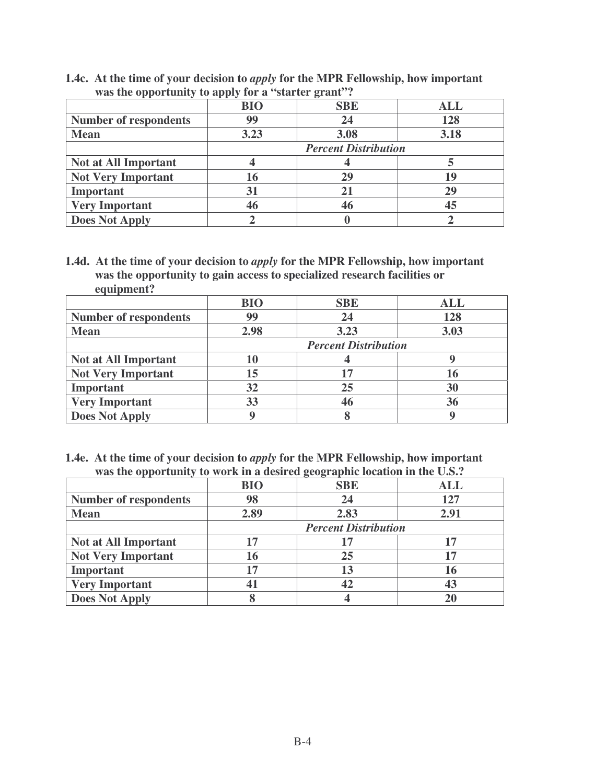| was the opportunity to apply for a starter grant. |            |                             |            |
|---------------------------------------------------|------------|-----------------------------|------------|
|                                                   | <b>BIO</b> | <b>SBE</b>                  | <b>ALL</b> |
| <b>Number of respondents</b>                      | 99         | 24                          | 128        |
| <b>Mean</b>                                       | 3.23       | 3.08                        | 3.18       |
|                                                   |            | <b>Percent Distribution</b> |            |
| <b>Not at All Important</b>                       |            |                             |            |
| <b>Not Very Important</b>                         | 16         | 29                          | 19         |
| Important                                         | 31         | 21                          | 29         |
| <b>Very Important</b>                             | 46         | 46                          | 45         |
| <b>Does Not Apply</b>                             |            |                             |            |

**1.4c. At the time of your decision to** *apply* **for the MPR Fellowship, how important was the opportunity to apply for a "starter grant"?**

**1.4d. At the time of your decision to** *apply* **for the MPR Fellowship, how important was the opportunity to gain access to specialized research facilities or equipment?**

|                              | <b>BIO</b> | <b>SBE</b>                  | <b>ALL</b> |
|------------------------------|------------|-----------------------------|------------|
| <b>Number of respondents</b> | 99         | 24                          | 128        |
| <b>Mean</b>                  | 2.98       | 3.23                        | 3.03       |
|                              |            | <b>Percent Distribution</b> |            |
| <b>Not at All Important</b>  |            |                             |            |
| <b>Not Very Important</b>    | 15         |                             |            |
| Important                    | 32         | 25                          | 30         |
| <b>Very Important</b>        | 33         | 46                          | 36         |
| <b>Does Not Apply</b>        |            |                             |            |

**1.4e. At the time of your decision to** *apply* **for the MPR Fellowship, how important was the opportunity to work in a desired geographic location in the U.S.?**

|                              | <b>BIO</b> | <b>SBE</b>                  | ALL  |
|------------------------------|------------|-----------------------------|------|
| <b>Number of respondents</b> | 98         | 24                          | 127  |
| <b>Mean</b>                  | 2.89       | 2.83                        | 2.91 |
|                              |            | <b>Percent Distribution</b> |      |
| <b>Not at All Important</b>  | 17         |                             |      |
| <b>Not Very Important</b>    | 16         | 25                          | 17   |
| Important                    | 17         | 13                          | 16   |
| <b>Very Important</b>        |            | 42                          |      |
| <b>Does Not Apply</b>        |            |                             |      |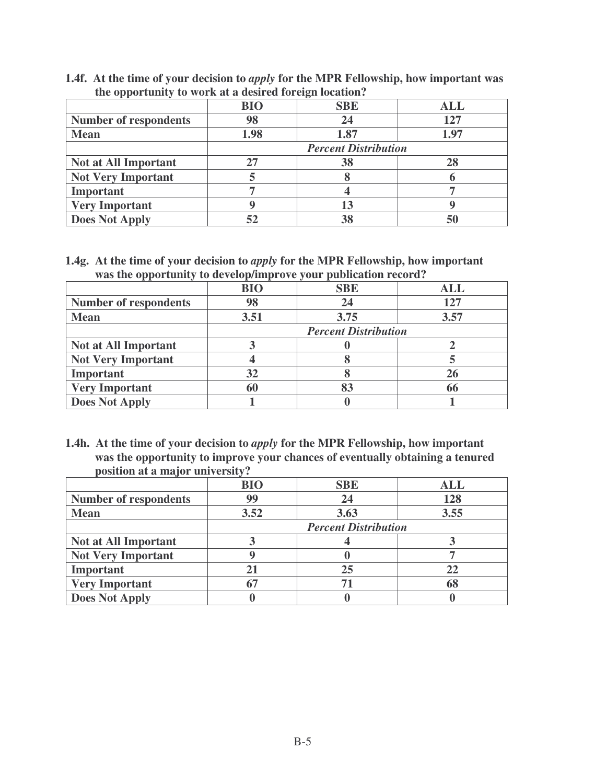**1.4f. At the time of your decision to** *apply* **for the MPR Fellowship, how important was the opportunity to work at a desired foreign location?**

|                              | <b>BIO</b> | <b>SBE</b>                  | <b>ALL</b> |
|------------------------------|------------|-----------------------------|------------|
| <b>Number of respondents</b> | 98         | 24                          | 127        |
| <b>Mean</b>                  | 1.98       | 1.87                        | 1.97       |
|                              |            | <b>Percent Distribution</b> |            |
| <b>Not at All Important</b>  |            | 38                          |            |
| <b>Not Very Important</b>    |            |                             |            |
| Important                    |            |                             |            |
| <b>Very Important</b>        |            |                             |            |
| <b>Does Not Apply</b>        |            | 38                          |            |

**1.4g. At the time of your decision to** *apply* **for the MPR Fellowship, how important was the opportunity to develop/improve your publication record?**

|                              | <b>BIO</b> | <b>SBE</b>                  | <b>ALL</b> |
|------------------------------|------------|-----------------------------|------------|
| <b>Number of respondents</b> | 98         | 24                          | 127        |
| <b>Mean</b>                  | 3.51       | 3.75                        | 3.57       |
|                              |            | <b>Percent Distribution</b> |            |
| <b>Not at All Important</b>  |            |                             |            |
| <b>Not Very Important</b>    |            |                             |            |
| Important                    | 32         |                             |            |
| <b>Very Important</b>        |            |                             |            |
| <b>Does Not Apply</b>        |            |                             |            |

**1.4h. At the time of your decision to** *apply* **for the MPR Fellowship, how important was the opportunity to improve your chances of eventually obtaining a tenured position at a major university?**

|                              | <b>BIO</b> | <b>SBE</b>                  | <b>ALL</b> |
|------------------------------|------------|-----------------------------|------------|
| <b>Number of respondents</b> | 99         | 24                          | 128        |
| <b>Mean</b>                  | 3.52       | 3.63                        | 3.55       |
|                              |            | <b>Percent Distribution</b> |            |
| <b>Not at All Important</b>  |            |                             |            |
| <b>Not Very Important</b>    |            |                             |            |
| Important                    |            | 25                          |            |
| <b>Very Important</b>        |            |                             |            |
| <b>Does Not Apply</b>        |            |                             |            |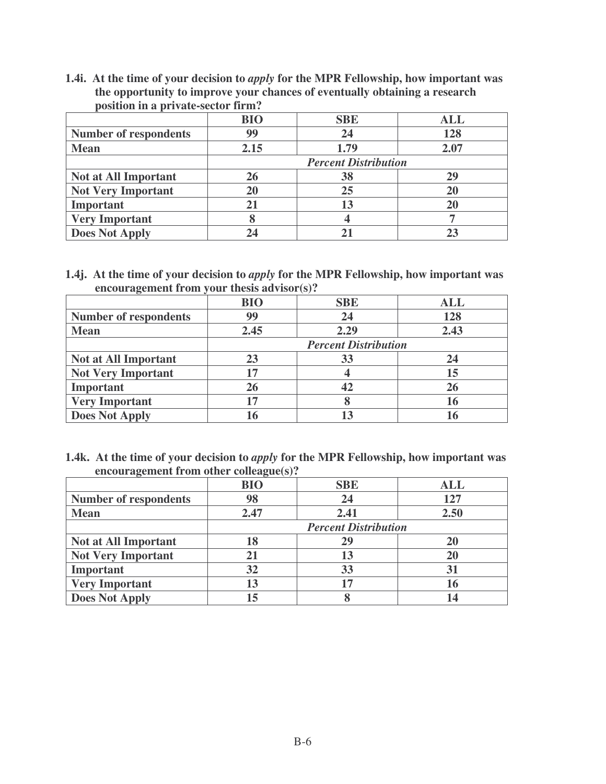**1.4i. At the time of your decision to** *apply* **for the MPR Fellowship, how important was the opportunity to improve your chances of eventually obtaining a research position in a private-sector firm?**

|                              | <b>BIO</b> | <b>SBE</b>                  | ALL  |
|------------------------------|------------|-----------------------------|------|
| <b>Number of respondents</b> | 99         | 24                          | 128  |
| <b>Mean</b>                  | 2.15       | 1.79                        | 2.07 |
|                              |            | <b>Percent Distribution</b> |      |
| <b>Not at All Important</b>  | <b>26</b>  | 38                          | 29   |
| <b>Not Very Important</b>    | 20         | 25                          |      |
| Important                    |            | 13                          |      |
| <b>Very Important</b>        |            |                             |      |
| <b>Does Not Apply</b>        |            |                             |      |

**1.4j. At the time of your decision to** *apply* **for the MPR Fellowship, how important was encouragement from your thesis advisor(s)?**

|                              | <b>BIO</b> | <b>SBE</b>                  | <b>ALL</b> |
|------------------------------|------------|-----------------------------|------------|
| <b>Number of respondents</b> | 99         | 24                          | 128        |
| <b>Mean</b>                  | 2.45       | 2.29                        | 2.43       |
|                              |            | <b>Percent Distribution</b> |            |
| <b>Not at All Important</b>  | 23         | 33                          | 24         |
| <b>Not Very Important</b>    |            |                             | 15         |
| Important                    | 26         | 42                          |            |
| <b>Very Important</b>        |            |                             |            |
| <b>Does Not Apply</b>        |            |                             |            |

**1.4k. At the time of your decision to** *apply* **for the MPR Fellowship, how important was encouragement from other colleague(s)?**

|                              | <b>BIO</b> | <b>SBE</b>                  | <b>ALL</b> |
|------------------------------|------------|-----------------------------|------------|
| <b>Number of respondents</b> | 98         | 24                          | 127        |
| <b>Mean</b>                  | 2.47       | 2.41                        | 2.50       |
|                              |            | <b>Percent Distribution</b> |            |
| Not at All Important         | 18         | 29                          |            |
| <b>Not Very Important</b>    |            | 13                          |            |
| Important                    | 32         | 33                          |            |
| <b>Very Important</b>        | 13         |                             |            |
| <b>Does Not Apply</b>        | 15         |                             |            |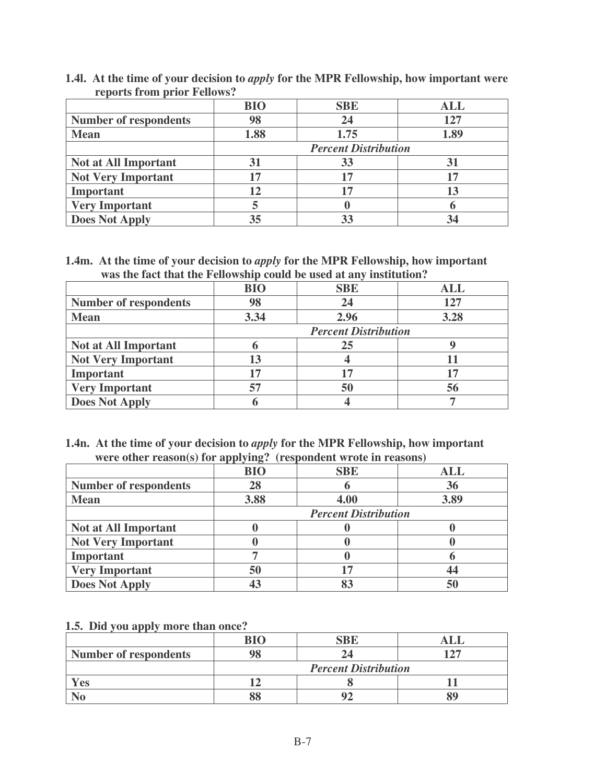|                              | <b>BIO</b> | <b>SBE</b>                  | ALL  |
|------------------------------|------------|-----------------------------|------|
| <b>Number of respondents</b> | 98         | 24                          | 127  |
| <b>Mean</b>                  | 1.88       | 1.75                        | 1.89 |
|                              |            | <b>Percent Distribution</b> |      |
| <b>Not at All Important</b>  | 31         |                             |      |
| <b>Not Very Important</b>    | 17         | 17                          |      |
| Important                    | 12         | 17                          |      |
| <b>Very Important</b>        |            |                             |      |
| <b>Does Not Apply</b>        | 35         |                             |      |

**1.4l. At the time of your decision to** *apply* **for the MPR Fellowship, how important were reports from prior Fellows?**

**1.4m. At the time of your decision to** *apply* **for the MPR Fellowship, how important was the fact that the Fellowship could be used at any institution?**

|                              | <b>BIO</b> | <b>SBE</b>                  | <b>ALL</b> |
|------------------------------|------------|-----------------------------|------------|
| <b>Number of respondents</b> | 98         |                             | 127        |
| <b>Mean</b>                  | 3.34       | 2.96                        | 3.28       |
|                              |            | <b>Percent Distribution</b> |            |
| <b>Not at All Important</b>  |            | 25                          |            |
| <b>Not Very Important</b>    | 13         |                             |            |
| Important                    | 17         | 17                          |            |
| <b>Very Important</b>        | 57         | 50                          | 56         |
| <b>Does Not Apply</b>        |            |                             |            |

| 1.4n. At the time of your decision to <i>apply</i> for the MPR Fellowship, how important |
|------------------------------------------------------------------------------------------|
| were other reason(s) for applying? (respondent wrote in reasons)                         |

|                              | $\circ$    |                             |            |
|------------------------------|------------|-----------------------------|------------|
|                              | <b>BIO</b> | <b>SBE</b>                  | <b>ALL</b> |
| <b>Number of respondents</b> | 28         |                             | 36         |
| <b>Mean</b>                  | 3.88       | 4.00                        | 3.89       |
|                              |            | <b>Percent Distribution</b> |            |
| <b>Not at All Important</b>  |            |                             |            |
| <b>Not Very Important</b>    |            |                             |            |
| Important                    |            |                             |            |
| <b>Very Important</b>        | 50         |                             |            |
| <b>Does Not Apply</b>        |            |                             |            |

#### **1.5. Did you apply more than once?**

|                              | RΙO |                             |  |
|------------------------------|-----|-----------------------------|--|
| <b>Number of respondents</b> |     |                             |  |
|                              |     | <b>Percent Distribution</b> |  |
| Yes                          |     |                             |  |
|                              |     |                             |  |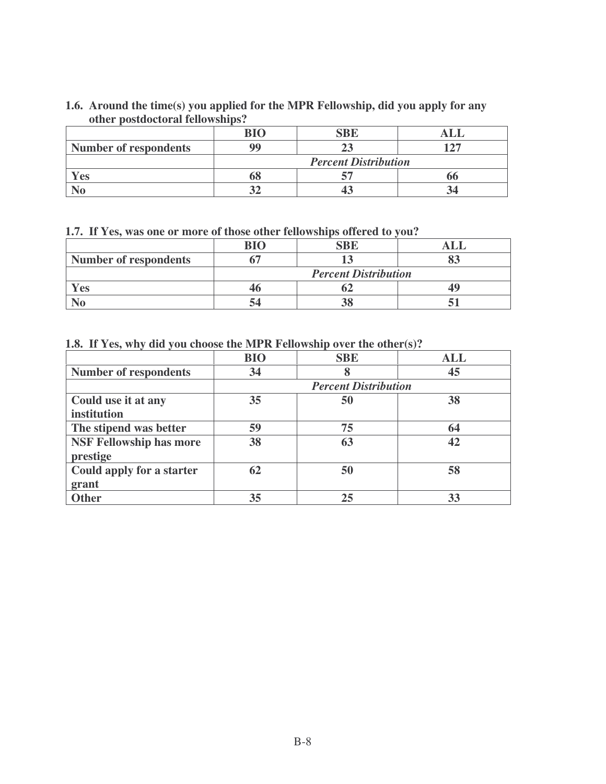## **1.6. Around the time(s) you applied for the MPR Fellowship, did you apply for any other postdoctoral fellowships?**

|                              | <b>BIO</b> | SBE                         |  |
|------------------------------|------------|-----------------------------|--|
| <b>Number of respondents</b> | QQ         |                             |  |
|                              |            | <b>Percent Distribution</b> |  |
| Yes                          | ნშ         |                             |  |
|                              |            |                             |  |

**1.7. If Yes, was one or more of those other fellowships offered to you?**

|                              | RI∩ |                             |  |
|------------------------------|-----|-----------------------------|--|
| <b>Number of respondents</b> |     |                             |  |
|                              |     | <b>Percent Distribution</b> |  |
| Yes                          |     |                             |  |
|                              |     |                             |  |

**1.8. If Yes, why did you choose the MPR Fellowship over the other(s)?**

|                                | <b>BIO</b> | <b>SBE</b>                  | ALL |
|--------------------------------|------------|-----------------------------|-----|
| <b>Number of respondents</b>   | 34         |                             | 45  |
|                                |            | <b>Percent Distribution</b> |     |
| Could use it at any            | 35         | 50                          | 38  |
| institution                    |            |                             |     |
| The stipend was better         | 59         | 75                          | 64  |
| <b>NSF Fellowship has more</b> | 38         | 63                          | 42  |
| prestige                       |            |                             |     |
| Could apply for a starter      | 62         | 50                          | 58  |
| grant                          |            |                             |     |
| <b>Other</b>                   | 35         | 25                          | 33  |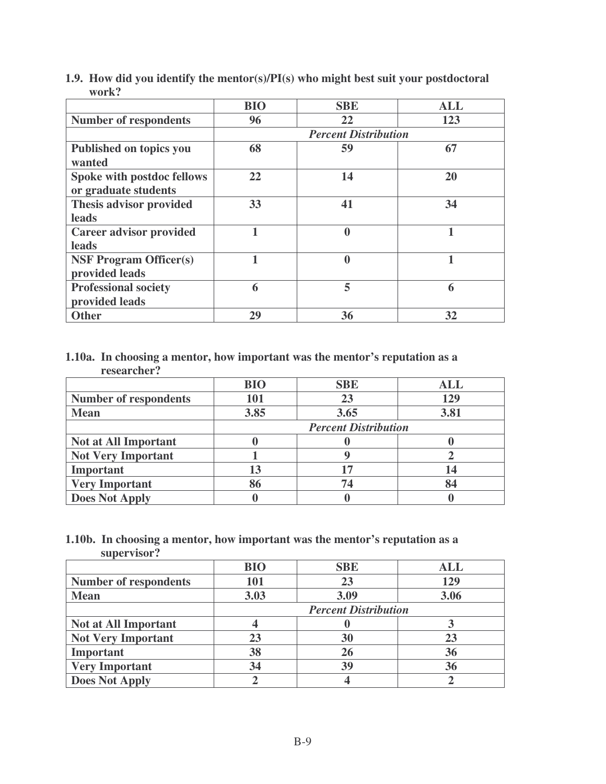|                                                    | <b>BIO</b> | <b>SBE</b>                  | <b>ALL</b> |
|----------------------------------------------------|------------|-----------------------------|------------|
| <b>Number of respondents</b>                       | 96         | 22                          | 123        |
|                                                    |            | <b>Percent Distribution</b> |            |
| <b>Published on topics you</b><br>wanted           | 68         | 59                          | 67         |
| Spoke with postdoc fellows<br>or graduate students | 22         | 14                          | 20         |
| Thesis advisor provided<br>leads                   | 33         | 41                          | 34         |
| <b>Career advisor provided</b><br>leads            |            | $\mathbf 0$                 |            |
| <b>NSF Program Officer(s)</b><br>provided leads    |            | $\boldsymbol{0}$            |            |
| <b>Professional society</b><br>provided leads      | 6          | 5                           | 6          |
| <b>Other</b>                                       | 29         | 36                          | 32         |

**1.9. How did you identify the mentor(s)/PI(s) who might best suit your postdoctoral work?**

## **1.10a. In choosing a mentor, how important was the mentor's reputation as a researcher?**

|                              | <b>BIO</b> | <b>SBE</b>                  | ALL  |
|------------------------------|------------|-----------------------------|------|
| <b>Number of respondents</b> | 101        | 23                          | 129  |
| <b>Mean</b>                  | 3.85       | 3.65                        | 3.81 |
|                              |            | <b>Percent Distribution</b> |      |
| <b>Not at All Important</b>  |            |                             |      |
| <b>Not Very Important</b>    |            |                             |      |
| Important                    | 13         | 17                          |      |
| <b>Very Important</b>        | 86         | 74                          |      |
| <b>Does Not Apply</b>        |            |                             |      |

## **1.10b. In choosing a mentor, how important was the mentor's reputation as a supervisor?**

|                              | <b>BIO</b> | <b>SBE</b>                  | ALL  |
|------------------------------|------------|-----------------------------|------|
| <b>Number of respondents</b> | 101        | 23                          | 129  |
| <b>Mean</b>                  | 3.03       | 3.09                        | 3.06 |
|                              |            | <b>Percent Distribution</b> |      |
| <b>Not at All Important</b>  |            |                             |      |
| <b>Not Very Important</b>    | 23         | 30                          | 23   |
| Important                    | 38         | 26                          | 36   |
| <b>Very Important</b>        | 34         | 39                          | 36   |
| <b>Does Not Apply</b>        |            |                             |      |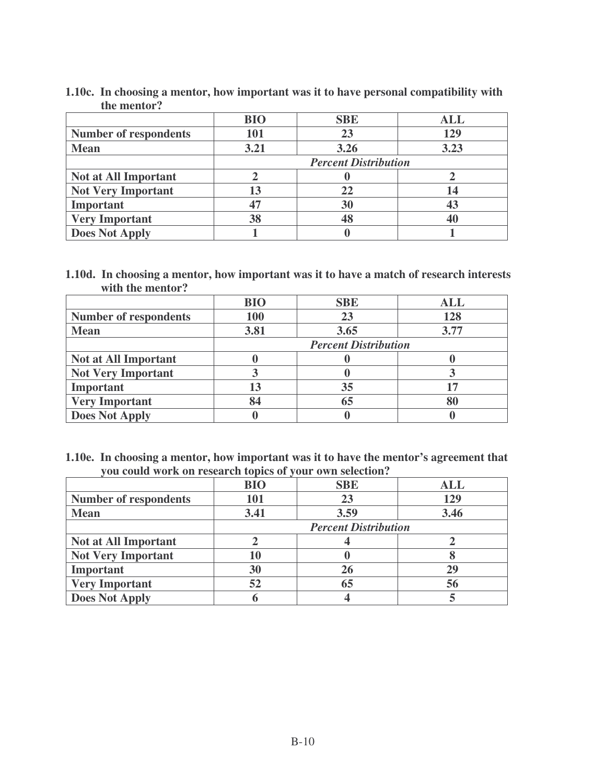|                              | <b>BIO</b>                  | <b>SBE</b> | <b>ALL</b> |
|------------------------------|-----------------------------|------------|------------|
| <b>Number of respondents</b> | 101                         | 23         | 129        |
| <b>Mean</b>                  | 3.21                        | 3.26       | 3.23       |
|                              | <b>Percent Distribution</b> |            |            |
| <b>Not at All Important</b>  |                             |            |            |
| <b>Not Very Important</b>    | 13                          |            |            |
| Important                    | 47                          | 30         |            |
| <b>Very Important</b>        | 38                          |            |            |
| <b>Does Not Apply</b>        |                             |            |            |

**1.10c. In choosing a mentor, how important was it to have personal compatibility with the mentor?**

**1.10d. In choosing a mentor, how important was it to have a match of research interests with the mentor?**

|                              | <b>BIO</b> | <b>SBE</b>                  | <b>ALL</b> |
|------------------------------|------------|-----------------------------|------------|
| <b>Number of respondents</b> | 100        | 23                          | 128        |
| <b>Mean</b>                  | 3.81       | 3.65                        | 3.77       |
|                              |            | <b>Percent Distribution</b> |            |
| <b>Not at All Important</b>  |            |                             |            |
| <b>Not Very Important</b>    |            |                             |            |
| <b>Important</b>             | 13         | 35                          |            |
| <b>Very Important</b>        | 84         |                             |            |
| <b>Does Not Apply</b>        |            |                             |            |

**1.10e. In choosing a mentor, how important was it to have the mentor's agreement that you could work on research topics of your own selection?**

|                              | <b>BIO</b> | <b>SBE</b>                  | ALL  |
|------------------------------|------------|-----------------------------|------|
| <b>Number of respondents</b> | 101        | 23                          | 129  |
| <b>Mean</b>                  | 3.41       | 3.59                        | 3.46 |
|                              |            | <b>Percent Distribution</b> |      |
| <b>Not at All Important</b>  |            |                             |      |
| <b>Not Very Important</b>    | 10         |                             |      |
| Important                    | 30         | 26                          |      |
| <b>Very Important</b>        | 52         | 65                          | 56   |
| <b>Does Not Apply</b>        |            |                             |      |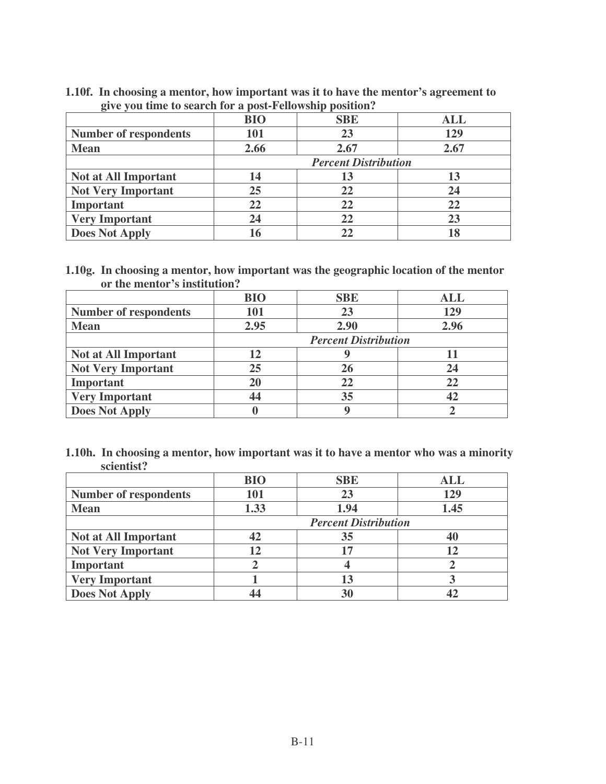**1.10f. In choosing a mentor, how important was it to have the mentor's agreement to give you time to search for a post-Fellowship position?**

|                              | <b>BIO</b> | <b>SBE</b>                  | ALL  |
|------------------------------|------------|-----------------------------|------|
| <b>Number of respondents</b> | 101        | 23                          | 129  |
| <b>Mean</b>                  | 2.66       | 2.67                        | 2.67 |
|                              |            | <b>Percent Distribution</b> |      |
| <b>Not at All Important</b>  | 14         |                             | 13   |
| <b>Not Very Important</b>    | 25         | 22                          |      |
| Important                    | 22         | 22                          | 22   |
| <b>Very Important</b>        | 24         | 22                          |      |
| <b>Does Not Apply</b>        | 16         |                             |      |

**1.10g. In choosing a mentor, how important was the geographic location of the mentor or the mentor's institution?**

|                              | <b>BIO</b> | <b>SBE</b>                  | <b>ALL</b> |
|------------------------------|------------|-----------------------------|------------|
| <b>Number of respondents</b> | 101        | 23                          | 129        |
| <b>Mean</b>                  | 2.95       | 2.90                        | 2.96       |
|                              |            | <b>Percent Distribution</b> |            |
| <b>Not at All Important</b>  | 12         |                             |            |
| <b>Not Very Important</b>    | 25         |                             |            |
| Important                    | 20         | 22                          | 22         |
| <b>Very Important</b>        | 44         | 35                          |            |
| <b>Does Not Apply</b>        |            |                             |            |

| 1.10h. In choosing a mentor, how important was it to have a mentor who was a minority |
|---------------------------------------------------------------------------------------|
| scientist?                                                                            |

|                              | <b>BIO</b> | <b>SBE</b>                  | ALL  |
|------------------------------|------------|-----------------------------|------|
| <b>Number of respondents</b> | 101        | 23                          | 129  |
| <b>Mean</b>                  | 1.33       | 1.94                        | 1.45 |
|                              |            | <b>Percent Distribution</b> |      |
| <b>Not at All Important</b>  | 42         | 35                          |      |
| <b>Not Very Important</b>    | 12         | 17                          |      |
| Important                    |            |                             |      |
| <b>Very Important</b>        |            | 13                          |      |
| <b>Does Not Apply</b>        |            | 30                          |      |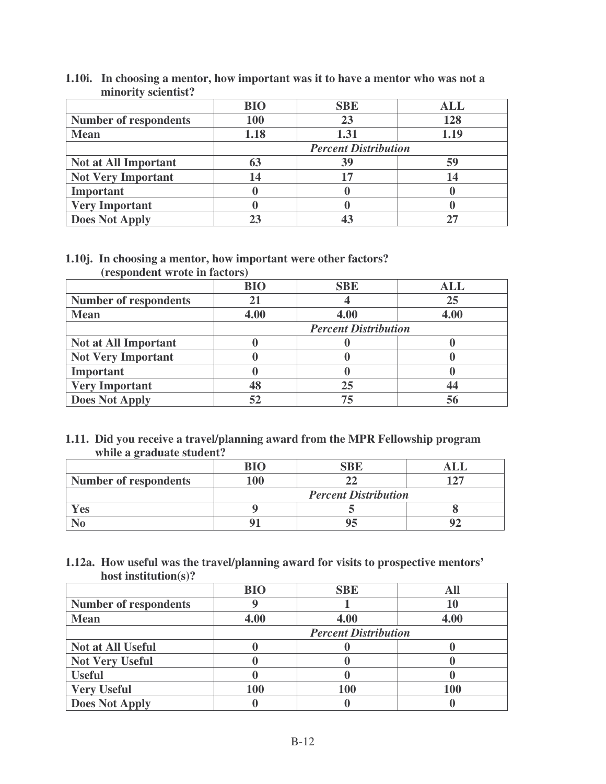| <b>IIIIIIIIIIIII SCIEIIIISL!</b> |            |                             |            |
|----------------------------------|------------|-----------------------------|------------|
|                                  | <b>BIO</b> | <b>SBE</b>                  | <b>ALL</b> |
| <b>Number of respondents</b>     | <b>100</b> | 23                          | 128        |
| <b>Mean</b>                      | 1.18       | 1.31                        | 1.19       |
|                                  |            | <b>Percent Distribution</b> |            |
| <b>Not at All Important</b>      | 63         | 39                          | 59         |
| <b>Not Very Important</b>        | 14         | 17                          | 14         |
| <b>Important</b>                 |            |                             |            |
| <b>Very Important</b>            |            |                             |            |
| <b>Does Not Apply</b>            |            |                             |            |

**1.10i. In choosing a mentor, how important was it to have a mentor who was not a** minority *scientist?* 

#### **1.10j. In choosing a mentor, how important were other factors? (respondent wrote in factors)**

| $\sim$                       |            |                             |      |
|------------------------------|------------|-----------------------------|------|
|                              | <b>BIO</b> | <b>SBE</b>                  | ALL  |
| <b>Number of respondents</b> | 21         |                             | 25   |
| <b>Mean</b>                  | 4.00       | 4.00                        | 4.00 |
|                              |            | <b>Percent Distribution</b> |      |
| <b>Not at All Important</b>  |            |                             |      |
| <b>Not Very Important</b>    |            |                             |      |
| Important                    |            |                             |      |
| <b>Very Important</b>        | 48         | 25                          |      |
| <b>Does Not Apply</b>        | 52         | 75                          |      |

## **1.11. Did you receive a travel/planning award from the MPR Fellowship program while a graduate student?**

|                              | <b>BIO</b>                  | SBE |  |
|------------------------------|-----------------------------|-----|--|
| <b>Number of respondents</b> | 100                         |     |  |
|                              | <b>Percent Distribution</b> |     |  |
| Yes                          |                             |     |  |
|                              |                             |     |  |

## **1.12a. How useful was the travel/planning award for visits to prospective mentors' host institution(s)?**

|                              | <b>BIO</b>                  | <b>SBE</b> |      |
|------------------------------|-----------------------------|------------|------|
| <b>Number of respondents</b> |                             |            |      |
| <b>Mean</b>                  | 4.00                        | 4.00       | 4.00 |
|                              | <b>Percent Distribution</b> |            |      |
| <b>Not at All Useful</b>     |                             |            |      |
| <b>Not Very Useful</b>       |                             |            |      |
| <b>Useful</b>                |                             |            |      |
| <b>Very Useful</b>           | 100                         | 100        | 100  |
| <b>Does Not Apply</b>        |                             |            |      |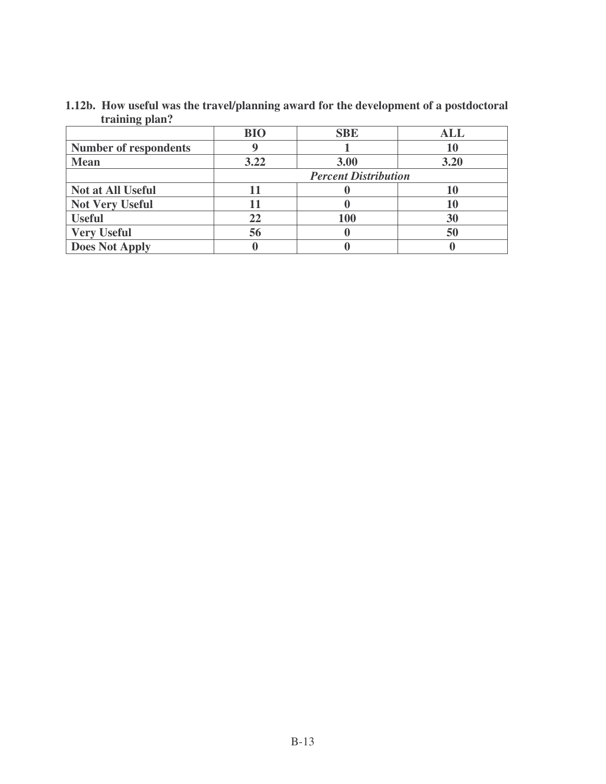| $\mathbf{u}$ anning piant.   |                             |            |            |
|------------------------------|-----------------------------|------------|------------|
|                              | <b>BIO</b>                  | <b>SBE</b> | <b>ALL</b> |
| <b>Number of respondents</b> |                             |            |            |
| <b>Mean</b>                  | 3.22                        | 3.00       | 3.20       |
|                              | <b>Percent Distribution</b> |            |            |
| <b>Not at All Useful</b>     |                             |            |            |
| <b>Not Very Useful</b>       |                             |            |            |
| <b>Useful</b>                | 22                          | 100        | 30         |
| <b>Very Useful</b>           | 56                          |            | 50         |
| <b>Does Not Apply</b>        |                             |            |            |

**1.12b. How useful was the travel/planning award for the development of a postdoctoral training plan?**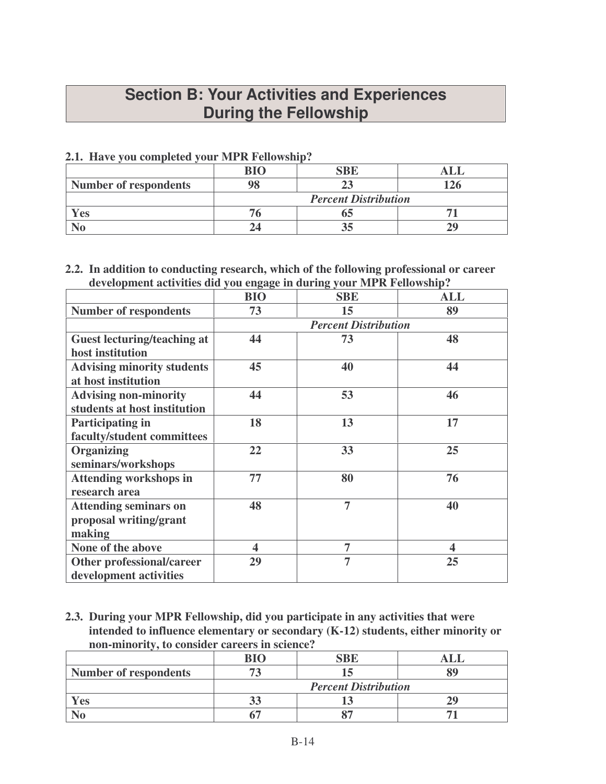## **Section B: Your Activities and Experiences During the Fellowship**

## **2.1. Have you completed your MPR Fellowship?**

|                              | $\mathbf{R}$ I $\Omega$     |  |  |
|------------------------------|-----------------------------|--|--|
| <b>Number of respondents</b> |                             |  |  |
|                              | <b>Percent Distribution</b> |  |  |
| 7es                          |                             |  |  |
|                              |                             |  |  |

#### **2.2. In addition to conducting research, which of the following professional or career development activities did you engage in during your MPR Fellowship?**

|                                                                  | $\sigma$ $\sigma$ | ⊂ ັ                         |            |
|------------------------------------------------------------------|-------------------|-----------------------------|------------|
|                                                                  | <b>BIO</b>        | <b>SBE</b>                  | <b>ALL</b> |
| <b>Number of respondents</b>                                     | 73                | 15                          | 89         |
|                                                                  |                   | <b>Percent Distribution</b> |            |
| <b>Guest lecturing/teaching at</b><br>host institution           | 44                | 73                          | 48         |
| <b>Advising minority students</b><br>at host institution         | 45                | 40                          | 44         |
| <b>Advising non-minority</b><br>students at host institution     | 44                | 53                          | 46         |
| <b>Participating in</b><br>faculty/student committees            | 18                | 13                          | 17         |
| <b>Organizing</b><br>seminars/workshops                          | 22                | 33                          | 25         |
| <b>Attending workshops in</b><br>research area                   | 77                | 80                          | 76         |
| <b>Attending seminars on</b><br>proposal writing/grant<br>making | 48                | $\overline{7}$              | 40         |
| None of the above                                                | 4                 | 7                           | 4          |
| Other professional/career<br>development activities              | 29                | $\overline{7}$              | 25         |

**2.3. During your MPR Fellowship, did you participate in any activities that were intended to influence elementary or secondary (K-12) students, either minority or non-minority, to consider careers in science?**

|                              | RIO                         |  |  |
|------------------------------|-----------------------------|--|--|
| <b>Number of respondents</b> |                             |  |  |
|                              | <b>Percent Distribution</b> |  |  |
| Yes                          |                             |  |  |
|                              |                             |  |  |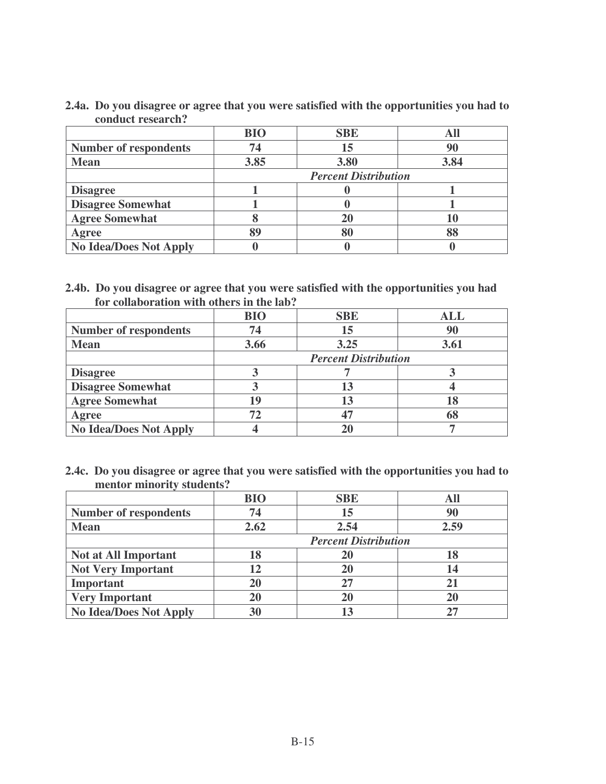| 2.4a. Do you disagree or agree that you were satisfied with the opportunities you had to |
|------------------------------------------------------------------------------------------|
| conduct research?                                                                        |

|                               | <b>BIO</b>                  | <b>SBE</b> |      |
|-------------------------------|-----------------------------|------------|------|
| <b>Number of respondents</b>  | 74                          | 15         | 90   |
| <b>Mean</b>                   | 3.85                        | 3.80       | 3.84 |
|                               | <b>Percent Distribution</b> |            |      |
| <b>Disagree</b>               |                             |            |      |
| <b>Disagree Somewhat</b>      |                             |            |      |
| <b>Agree Somewhat</b>         |                             | 20         |      |
| Agree                         | 89                          |            |      |
| <b>No Idea/Does Not Apply</b> |                             |            |      |

**2.4b. Do you disagree or agree that you were satisfied with the opportunities you had for collaboration with others in the lab?**

|                               | <b>BIO</b>                  | <b>SBE</b> | <b>ALL</b> |
|-------------------------------|-----------------------------|------------|------------|
| <b>Number of respondents</b>  | 74                          | 15         | 90         |
| <b>Mean</b>                   | 3.66                        | 3.25       | 3.61       |
|                               | <b>Percent Distribution</b> |            |            |
| <b>Disagree</b>               |                             |            |            |
| <b>Disagree Somewhat</b>      |                             |            |            |
| <b>Agree Somewhat</b>         | 19                          | 13         |            |
| Agree                         | 72                          |            |            |
| <b>No Idea/Does Not Apply</b> |                             |            |            |

**2.4c. Do you disagree or agree that you were satisfied with the opportunities you had to mentor minority students?**

|                               | <b>BIO</b> | <b>SBE</b>                  |      |
|-------------------------------|------------|-----------------------------|------|
| <b>Number of respondents</b>  | 74         | 15                          | 90   |
| <b>Mean</b>                   | 2.62       | 2.54                        | 2.59 |
|                               |            | <b>Percent Distribution</b> |      |
| <b>Not at All Important</b>   | 18         | 20                          |      |
| <b>Not Very Important</b>     | 12         | 20                          | 14   |
| Important                     | <b>20</b>  | 27                          |      |
| <b>Very Important</b>         | 20         |                             |      |
| <b>No Idea/Does Not Apply</b> | 30         |                             |      |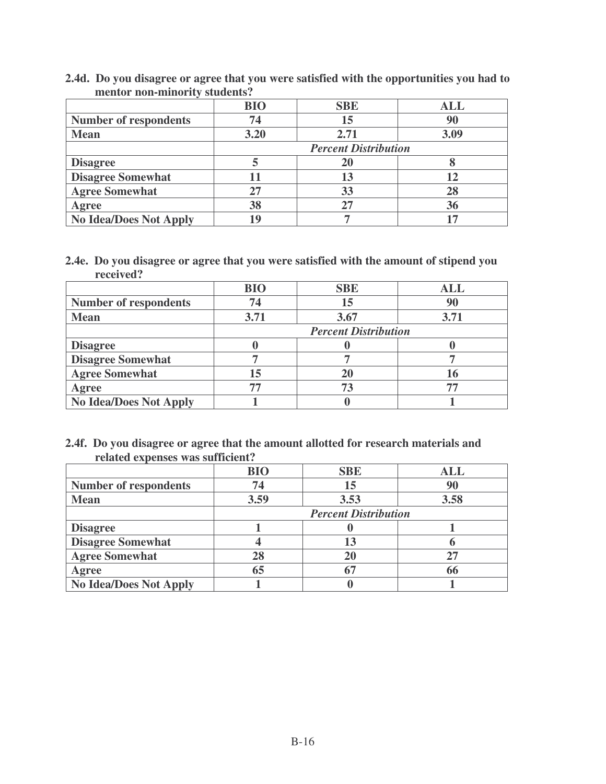|                               |  | 2.4d. Do you disagree or agree that you were satisfied with the opportunities you had to |
|-------------------------------|--|------------------------------------------------------------------------------------------|
| mentor non-minority students? |  |                                                                                          |

|                               | <b>BIO</b> | <b>SBE</b>                  | <b>ALL</b> |
|-------------------------------|------------|-----------------------------|------------|
| <b>Number of respondents</b>  | 74         | 15                          | 90         |
| <b>Mean</b>                   | 3.20       | 2.71                        | 3.09       |
|                               |            | <b>Percent Distribution</b> |            |
| <b>Disagree</b>               |            | 20                          |            |
| <b>Disagree Somewhat</b>      |            | 13                          |            |
| <b>Agree Somewhat</b>         | 27         | 33                          |            |
| Agree                         | 38         |                             | 36         |
| <b>No Idea/Does Not Apply</b> | 19         |                             |            |

**2.4e. Do you disagree or agree that you were satisfied with the amount of stipend you received?**

|                               | <b>BIO</b>                  | <b>SBE</b> | <b>ALL</b> |
|-------------------------------|-----------------------------|------------|------------|
| <b>Number of respondents</b>  | 74                          | 15         | 90         |
| <b>Mean</b>                   | 3.71                        | 3.67       | 3.71       |
|                               | <b>Percent Distribution</b> |            |            |
| <b>Disagree</b>               |                             |            |            |
| <b>Disagree Somewhat</b>      |                             |            |            |
| <b>Agree Somewhat</b>         | 15                          | 20         |            |
| Agree                         | 77                          | 73         |            |
| <b>No Idea/Does Not Apply</b> |                             |            |            |

**2.4f. Do you disagree or agree that the amount allotted for research materials and related expenses was sufficient?**

|                               | <b>BIO</b>                  | <b>SBE</b> | ALL  |
|-------------------------------|-----------------------------|------------|------|
| <b>Number of respondents</b>  | 74                          | 15         | 90   |
| <b>Mean</b>                   | 3.59                        | 3.53       | 3.58 |
|                               | <b>Percent Distribution</b> |            |      |
| <b>Disagree</b>               |                             |            |      |
| <b>Disagree Somewhat</b>      |                             | 13         |      |
| <b>Agree Somewhat</b>         | 28                          | 20         |      |
| Agree                         | 65                          | 67         |      |
| <b>No Idea/Does Not Apply</b> |                             |            |      |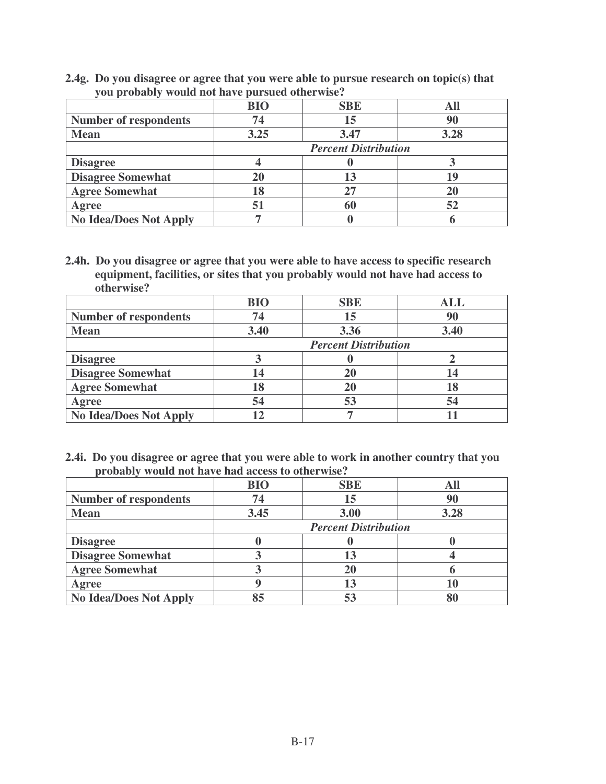**2.4g. Do you disagree or agree that you were able to pursue research on topic(s) that you probably would not have pursued otherwise?**

|                               | <b>BIO</b>                  | <b>SBE</b> |      |
|-------------------------------|-----------------------------|------------|------|
| <b>Number of respondents</b>  | 74                          | 15         | 90   |
| <b>Mean</b>                   | 3.25                        | 3.47       | 3.28 |
|                               | <b>Percent Distribution</b> |            |      |
| <b>Disagree</b>               |                             |            |      |
| <b>Disagree Somewhat</b>      | 20                          |            |      |
| <b>Agree Somewhat</b>         | 18                          | 27         |      |
| Agree                         | 51                          | 60         | 52   |
| <b>No Idea/Does Not Apply</b> |                             |            |      |

**2.4h. Do you disagree or agree that you were able to have access to specific research equipment, facilities, or sites that you probably would not have had access to otherwise?**

|                               | <b>BIO</b> | <b>SBE</b>                  | <b>ALL</b> |
|-------------------------------|------------|-----------------------------|------------|
| <b>Number of respondents</b>  | 74         | 15                          | 90         |
| <b>Mean</b>                   | 3.40       | 3.36                        | 3.40       |
|                               |            | <b>Percent Distribution</b> |            |
| <b>Disagree</b>               |            |                             |            |
| <b>Disagree Somewhat</b>      | 14         | 20                          | 14         |
| <b>Agree Somewhat</b>         | 18         | 20                          |            |
| Agree                         | 54         | 53                          | 54         |
| <b>No Idea/Does Not Apply</b> |            |                             |            |

**2.4i. Do you disagree or agree that you were able to work in another country that you probably would not have had access to otherwise?**

|                              | <b>BIO</b> | <b>SBE</b>                  |      |
|------------------------------|------------|-----------------------------|------|
| <b>Number of respondents</b> | 74         | 15                          | 90   |
| <b>Mean</b>                  | 3.45       | 3.00                        | 3.28 |
|                              |            | <b>Percent Distribution</b> |      |
| <b>Disagree</b>              |            |                             |      |
| <b>Disagree Somewhat</b>     |            | 13                          |      |
| <b>Agree Somewhat</b>        |            | 20                          |      |
| Agree                        |            | 13                          |      |
| No Idea/Does Not Apply       |            | 53                          |      |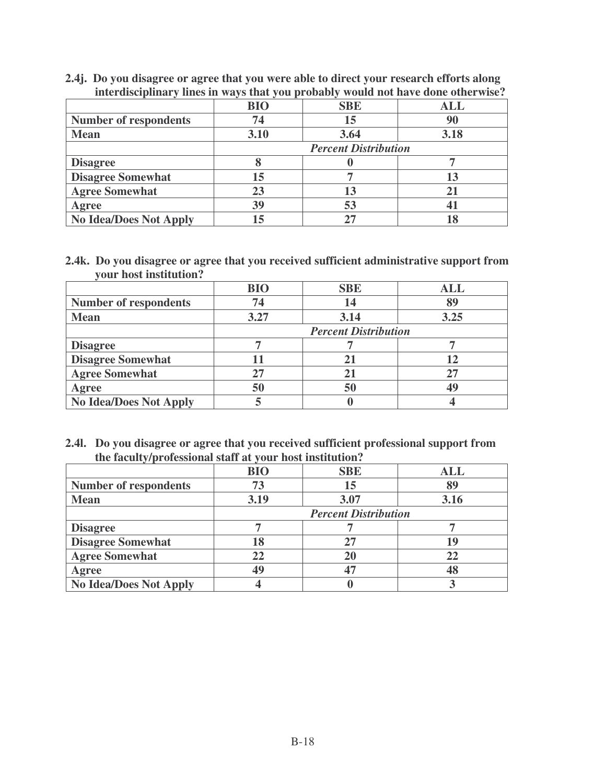**2.4j. Do you disagree or agree that you were able to direct your research efforts along interdisciplinary lines in ways that you probably would not have done otherwise?**

|                               | <b>BIO</b>                  | <b>SBE</b> | ALL  |
|-------------------------------|-----------------------------|------------|------|
| <b>Number of respondents</b>  | 74                          | 15         | 90   |
| <b>Mean</b>                   | 3.10                        | 3.64       | 3.18 |
|                               | <b>Percent Distribution</b> |            |      |
| <b>Disagree</b>               |                             |            |      |
| <b>Disagree Somewhat</b>      | 15                          |            |      |
| <b>Agree Somewhat</b>         | 23                          | 13         |      |
| Agree                         | 39                          | 53         |      |
| <b>No Idea/Does Not Apply</b> | 15                          | 27         |      |

**2.4k. Do you disagree or agree that you received sufficient administrative support from your host institution?**

|                               | <b>BIO</b>                  | <b>SBE</b> | ALL  |
|-------------------------------|-----------------------------|------------|------|
| <b>Number of respondents</b>  | 74                          | 14         |      |
| <b>Mean</b>                   | 3.27                        | 3.14       | 3.25 |
|                               | <b>Percent Distribution</b> |            |      |
| <b>Disagree</b>               |                             |            |      |
| <b>Disagree Somewhat</b>      |                             | 21         |      |
| <b>Agree Somewhat</b>         | 27                          | 21         |      |
| Agree                         | 50                          | 50         |      |
| <b>No Idea/Does Not Apply</b> |                             |            |      |

**2.4l. Do you disagree or agree that you received sufficient professional support from the faculty/professional staff at your host institution?**

|                               | <b>BIO</b>                  | <b>SBE</b> | <b>ALL</b> |
|-------------------------------|-----------------------------|------------|------------|
| <b>Number of respondents</b>  | 73                          | 15         | 89         |
| <b>Mean</b>                   | 3.19                        | 3.07       | 3.16       |
|                               | <b>Percent Distribution</b> |            |            |
| <b>Disagree</b>               |                             |            |            |
| <b>Disagree Somewhat</b>      | 18                          | 27         |            |
| <b>Agree Somewhat</b>         | 22                          | 20         | 22         |
| Agree                         | 49                          |            |            |
| <b>No Idea/Does Not Apply</b> |                             |            |            |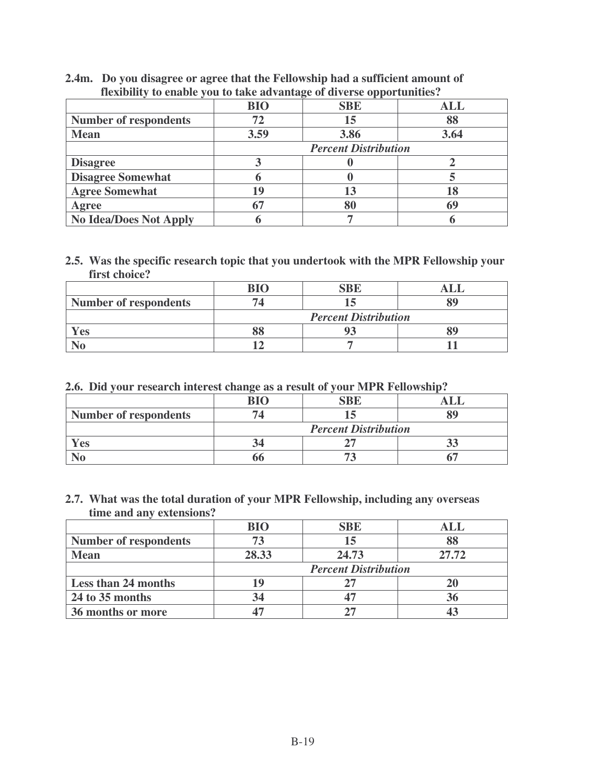## **2.4m. Do you disagree or agree that the Fellowship had a sufficient amount of flexibility to enable you to take advantage of diverse opportunities?**

|                               | <b>BIO</b>                  | <b>SBE</b> | ALL  |
|-------------------------------|-----------------------------|------------|------|
| <b>Number of respondents</b>  | 72                          | 15         | 88   |
| <b>Mean</b>                   | 3.59                        | 3.86       | 3.64 |
|                               | <b>Percent Distribution</b> |            |      |
| <b>Disagree</b>               |                             |            |      |
| <b>Disagree Somewhat</b>      |                             |            |      |
| <b>Agree Somewhat</b>         | 19                          | 13         |      |
| Agree                         | 67                          | 80         |      |
| <b>No Idea/Does Not Apply</b> |                             |            |      |

#### **2.5. Was the specific research topic that you undertook with the MPR Fellowship your first choice?**

|                              | RIC                         |  |  |
|------------------------------|-----------------------------|--|--|
| <b>Number of respondents</b> |                             |  |  |
|                              | <b>Percent Distribution</b> |  |  |
| Yes                          |                             |  |  |
|                              |                             |  |  |

## **2.6. Did your research interest change as a result of your MPR Fellowship?**

| <b>Number of respondents</b> |                             |  |  |
|------------------------------|-----------------------------|--|--|
|                              | <b>Percent Distribution</b> |  |  |
| Yes                          |                             |  |  |
|                              |                             |  |  |

#### **2.7. What was the total duration of your MPR Fellowship, including any overseas time and any extensions?**

|                              | <b>BIO</b>                  | <b>SBE</b> | ALL   |
|------------------------------|-----------------------------|------------|-------|
| <b>Number of respondents</b> |                             | 15         |       |
| <b>Mean</b>                  | 28.33                       | 24.73      | 27.72 |
|                              | <b>Percent Distribution</b> |            |       |
| <b>Less than 24 months</b>   |                             |            |       |
| 24 to 35 months              | 34                          |            | 56    |
| 36 months or more            |                             |            |       |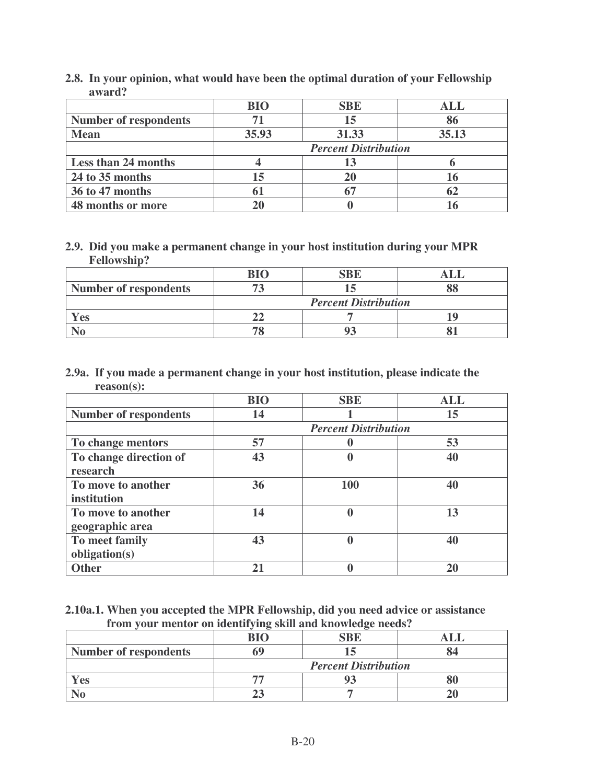|                              | <b>BIO</b>                  | <b>SBE</b> | ALL   |
|------------------------------|-----------------------------|------------|-------|
| <b>Number of respondents</b> | 71                          | 15         | 86    |
| <b>Mean</b>                  | 35.93                       | 31.33      | 35.13 |
|                              | <b>Percent Distribution</b> |            |       |
| <b>Less than 24 months</b>   |                             | 13         |       |
| 24 to 35 months              | 15                          | 20         |       |
| 36 to 47 months              | 61                          |            |       |
| 48 months or more            |                             |            |       |

**2.8. In your opinion, what would have been the optimal duration of your Fellowship award?**

## **2.9. Did you make a permanent change in your host institution during your MPR Fellowship?**

| <b>Number of respondents</b> |                             |  |  |
|------------------------------|-----------------------------|--|--|
|                              | <b>Percent Distribution</b> |  |  |
| Yes                          |                             |  |  |
|                              |                             |  |  |

## **2.9a. If you made a permanent change in your host institution, please indicate the reason(s):**

|                              | <b>BIO</b> | <b>SBE</b>                  | <b>ALL</b> |
|------------------------------|------------|-----------------------------|------------|
| <b>Number of respondents</b> | 14         |                             | 15         |
|                              |            | <b>Percent Distribution</b> |            |
| To change mentors            | 57         |                             | 53         |
| To change direction of       | 43         | 0                           | 40         |
| research                     |            |                             |            |
| To move to another           | 36         | <b>100</b>                  | 40         |
| institution                  |            |                             |            |
| To move to another           | 14         | $\bf{0}$                    | 13         |
| geographic area              |            |                             |            |
| To meet family               | 43         | 0                           | 40         |
| obligation(s)                |            |                             |            |
| <b>Other</b>                 | 21         |                             | 20         |

**2.10a.1. When you accepted the MPR Fellowship, did you need advice or assistance from your mentor on identifying skill and knowledge needs?**

|                              | DTC                         | SRF |  |
|------------------------------|-----------------------------|-----|--|
| <b>Number of respondents</b> |                             |     |  |
|                              | <b>Percent Distribution</b> |     |  |
| Yes                          |                             |     |  |
|                              |                             |     |  |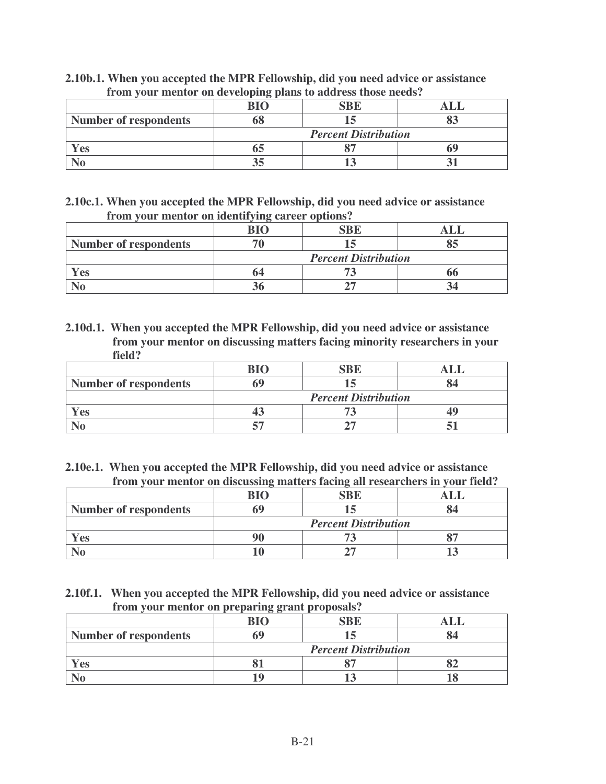| If one your mention on accepting praise to author those necess. |                             |            |  |
|-----------------------------------------------------------------|-----------------------------|------------|--|
|                                                                 | RIC                         | <b>SBE</b> |  |
| <b>Number of respondents</b>                                    |                             |            |  |
|                                                                 | <b>Percent Distribution</b> |            |  |
| Yes                                                             |                             |            |  |
|                                                                 |                             |            |  |

**2.10b.1. When you accepted the MPR Fellowship, did you need advice or assistance from your mentor on developing plans to address those needs?**

**2.10c.1. When you accepted the MPR Fellowship, did you need advice or assistance from your mentor on identifying career options?**

|                              | dіc                         |  |  |
|------------------------------|-----------------------------|--|--|
| <b>Number of respondents</b> |                             |  |  |
|                              | <b>Percent Distribution</b> |  |  |
| Yes                          |                             |  |  |
|                              |                             |  |  |

**2.10d.1. When you accepted the MPR Fellowship, did you need advice or assistance from your mentor on discussing matters facing minority researchers in your field?**

| <b>Number of respondents</b> |                             |  |  |
|------------------------------|-----------------------------|--|--|
|                              | <b>Percent Distribution</b> |  |  |
| <b>Yes</b>                   |                             |  |  |
|                              |                             |  |  |

**2.10e.1. When you accepted the MPR Fellowship, did you need advice or assistance from your mentor on discussing matters facing all researchers in your field?**

|                              | BIC                         | `BŁ |  |
|------------------------------|-----------------------------|-----|--|
| <b>Number of respondents</b> |                             |     |  |
|                              | <b>Percent Distribution</b> |     |  |
| $V$ es                       |                             |     |  |
|                              |                             |     |  |

**2.10f.1. When you accepted the MPR Fellowship, did you need advice or assistance from your mentor on preparing grant proposals?**

|                              | <u>ں ں</u><br>$\mathbf{R}$ I $\mathbf{C}$ |  |  |
|------------------------------|-------------------------------------------|--|--|
| <b>Number of respondents</b> |                                           |  |  |
|                              | <b>Percent Distribution</b>               |  |  |
| <b>Yes</b>                   |                                           |  |  |
|                              |                                           |  |  |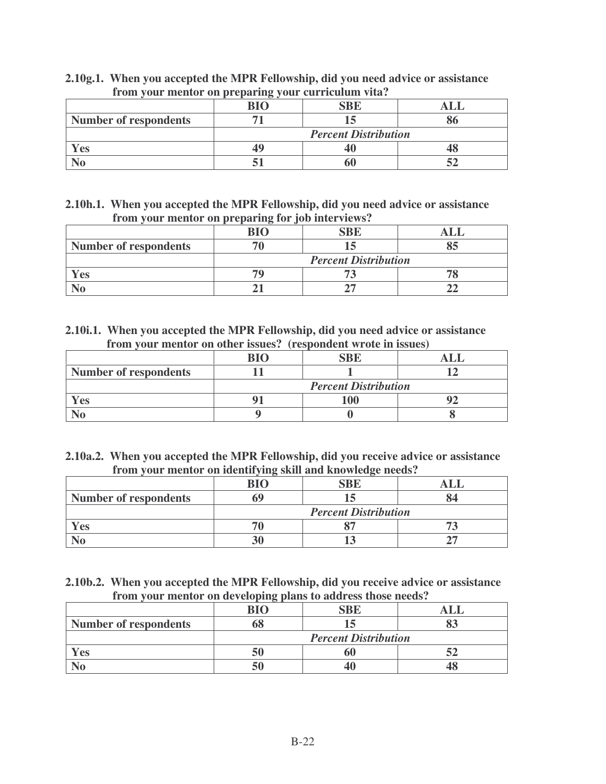| $\frac{1}{2}$ out invirted on properting $\frac{1}{2}$ our certicalism views |                             |  |  |
|------------------------------------------------------------------------------|-----------------------------|--|--|
|                                                                              |                             |  |  |
| <b>Number of respondents</b>                                                 |                             |  |  |
|                                                                              | <b>Percent Distribution</b> |  |  |
| Yes                                                                          |                             |  |  |
|                                                                              |                             |  |  |

**2.10g.1. When you accepted the MPR Fellowship, did you need advice or assistance from your mentor on preparing your curriculum vita?**

**2.10h.1. When you accepted the MPR Fellowship, did you need advice or assistance from your mentor on preparing for job interviews?**

|                              | <b>RIC</b>                  | <b>SBE</b> |  |
|------------------------------|-----------------------------|------------|--|
| <b>Number of respondents</b> |                             |            |  |
|                              | <b>Percent Distribution</b> |            |  |
| 'es                          |                             |            |  |
|                              |                             |            |  |

**2.10i.1. When you accepted the MPR Fellowship, did you need advice or assistance from your mentor on other issues? (respondent wrote in issues)**

|                              | RΙO                         | SBF |  |
|------------------------------|-----------------------------|-----|--|
| <b>Number of respondents</b> |                             |     |  |
|                              | <b>Percent Distribution</b> |     |  |
| <b>Yes</b>                   |                             |     |  |
|                              |                             |     |  |

**2.10a.2. When you accepted the MPR Fellowship, did you receive advice or assistance from your mentor on identifying skill and knowledge needs?**

| <b>Number of respondents</b> |                             |  |  |
|------------------------------|-----------------------------|--|--|
|                              | <b>Percent Distribution</b> |  |  |
| es.                          |                             |  |  |
|                              |                             |  |  |

**2.10b.2. When you accepted the MPR Fellowship, did you receive advice or assistance from your mentor on developing plans to address those needs?**

|                       | DІЛ                         |  |  |
|-----------------------|-----------------------------|--|--|
| Number of respondents |                             |  |  |
|                       | <b>Percent Distribution</b> |  |  |
| . es                  |                             |  |  |
|                       |                             |  |  |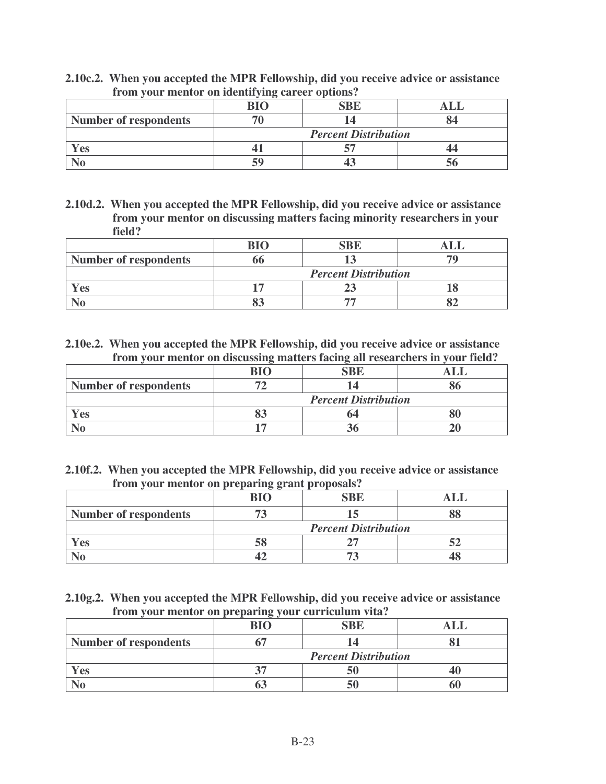|                              | RIC                         |  |  |
|------------------------------|-----------------------------|--|--|
| <b>Number of respondents</b> |                             |  |  |
|                              | <b>Percent Distribution</b> |  |  |
| <b>Yes</b>                   |                             |  |  |
|                              | 59                          |  |  |

**2.10c.2. When you accepted the MPR Fellowship, did you receive advice or assistance from your mentor on identifying career options?**

**2.10d.2. When you accepted the MPR Fellowship, did you receive advice or assistance from your mentor on discussing matters facing minority researchers in your field?**

| <b>Number of respondents</b> |                             |  |  |
|------------------------------|-----------------------------|--|--|
|                              | <b>Percent Distribution</b> |  |  |
| l es                         |                             |  |  |
|                              |                             |  |  |

**2.10e.2. When you accepted the MPR Fellowship, did you receive advice or assistance from your mentor on discussing matters facing all researchers in your field?**

|                              | RIC                         |  |  |
|------------------------------|-----------------------------|--|--|
| <b>Number of respondents</b> |                             |  |  |
|                              | <b>Percent Distribution</b> |  |  |
| Yes                          |                             |  |  |
|                              |                             |  |  |

**2.10f.2. When you accepted the MPR Fellowship, did you receive advice or assistance from your mentor on preparing grant proposals?**

|                              | <b>BIO</b>                  | <b>SBE</b> |  |
|------------------------------|-----------------------------|------------|--|
| <b>Number of respondents</b> |                             |            |  |
|                              | <b>Percent Distribution</b> |            |  |
| Yes                          | JC.                         |            |  |
|                              |                             |            |  |

**2.10g.2. When you accepted the MPR Fellowship, did you receive advice or assistance from your mentor on preparing your curriculum vita?**

|                              | <b>BIO</b>                  | <b>SBE</b> |  |
|------------------------------|-----------------------------|------------|--|
| <b>Number of respondents</b> |                             |            |  |
|                              | <b>Percent Distribution</b> |            |  |
| <b>es</b>                    |                             |            |  |
|                              |                             |            |  |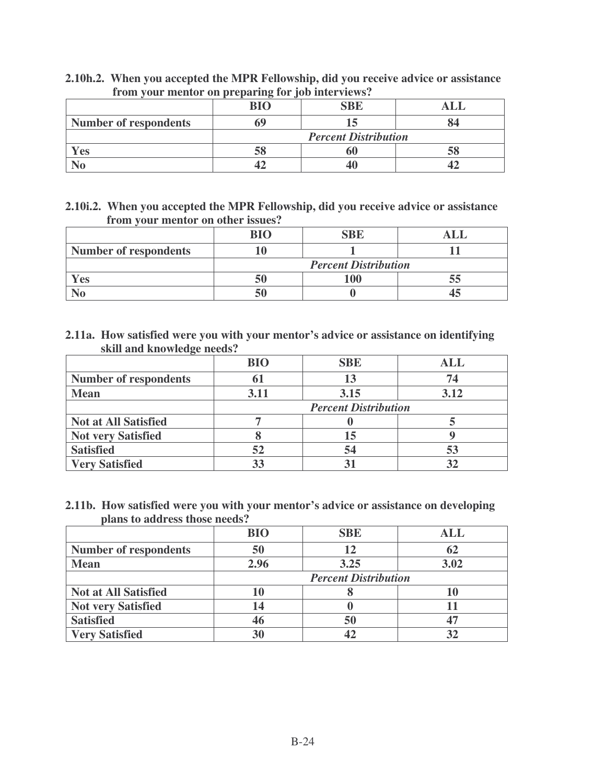| $- - - - - -$                | <b>BIO</b>                  | <b>SBE</b> |  |
|------------------------------|-----------------------------|------------|--|
| <b>Number of respondents</b> |                             |            |  |
|                              | <b>Percent Distribution</b> |            |  |
| Yes                          |                             |            |  |
|                              |                             |            |  |

**2.10h.2. When you accepted the MPR Fellowship, did you receive advice or assistance from your mentor on preparing for job interviews?**

**2.10i.2. When you accepted the MPR Fellowship, did you receive advice or assistance from your mentor on other issues?**

|                              | <b>BIO</b>                  | <b>SBE</b> |  |
|------------------------------|-----------------------------|------------|--|
| <b>Number of respondents</b> |                             |            |  |
|                              | <b>Percent Distribution</b> |            |  |
| $V$ es                       |                             | $\Omega$   |  |
|                              |                             |            |  |

**2.11a. How satisfied were you with your mentor's advice or assistance on identifying skill and knowledge needs?**

|                              | <b>BIO</b>                  | <b>SBE</b> | ALL  |
|------------------------------|-----------------------------|------------|------|
| <b>Number of respondents</b> | 61                          | 13         | 74   |
| <b>Mean</b>                  | 3.11                        | 3.15       | 3.12 |
|                              | <b>Percent Distribution</b> |            |      |
| <b>Not at All Satisfied</b>  |                             |            |      |
| <b>Not very Satisfied</b>    |                             | 15         |      |
| <b>Satisfied</b>             | 52                          | 54         | 53   |
| <b>Very Satisfied</b>        | 33                          |            |      |

**2.11b. How satisfied were you with your mentor's advice or assistance on developing plans to address those needs?**

|                              | <b>BIO</b>                  | <b>SBE</b> | ALL  |
|------------------------------|-----------------------------|------------|------|
| <b>Number of respondents</b> | 50                          | 12         |      |
| <b>Mean</b>                  | 2.96                        | 3.25       | 3.02 |
|                              | <b>Percent Distribution</b> |            |      |
| <b>Not at All Satisfied</b>  | 10                          |            |      |
| <b>Not very Satisfied</b>    | 14                          |            |      |
| <b>Satisfied</b>             | 46                          | 50         |      |
| <b>Very Satisfied</b>        | 30                          | 42         |      |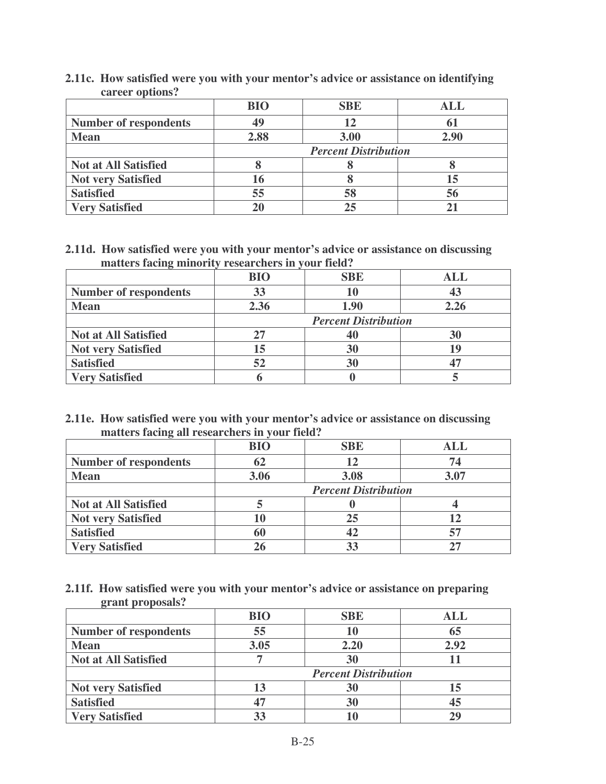| $\mathbf{u}$ $\mathbf{v}$ $\mathbf{v}$ $\mathbf{v}$ $\mathbf{v}$ $\mathbf{v}$ $\mathbf{v}$ |                             |            |            |
|--------------------------------------------------------------------------------------------|-----------------------------|------------|------------|
|                                                                                            | <b>BIO</b>                  | <b>SBE</b> | <b>ALL</b> |
| <b>Number of respondents</b>                                                               | 49                          | 12         |            |
| <b>Mean</b>                                                                                | 2.88                        | 3.00       | 2.90       |
|                                                                                            | <b>Percent Distribution</b> |            |            |
| <b>Not at All Satisfied</b>                                                                |                             |            |            |
| <b>Not very Satisfied</b>                                                                  | 16                          |            |            |
| <b>Satisfied</b>                                                                           | 55                          | 58         | 56         |
| <b>Very Satisfied</b>                                                                      | 20                          | 25         |            |

**2.11c. How satisfied were you with your mentor's advice or assistance on identifying career options?**

**2.11d. How satisfied were you with your mentor's advice or assistance on discussing matters facing minority researchers in your field?**

|                              | <b>BIO</b>                  | <b>SBE</b> | <b>ALL</b> |
|------------------------------|-----------------------------|------------|------------|
| <b>Number of respondents</b> | 33                          | 10         |            |
| <b>Mean</b>                  | 2.36                        | 1.90       | 2.26       |
|                              | <b>Percent Distribution</b> |            |            |
| <b>Not at All Satisfied</b>  | 27                          | 40         | 30         |
| <b>Not very Satisfied</b>    | 15                          | 30         |            |
| <b>Satisfied</b>             | 52                          | 30         |            |
| <b>Very Satisfied</b>        |                             |            |            |

**2.11e. How satisfied were you with your mentor's advice or assistance on discussing matters facing all researchers in your field?**

| $\circ$                      | <b>BIO</b>                  | <b>SBE</b> | $\mathbf{ALL}$ |
|------------------------------|-----------------------------|------------|----------------|
| <b>Number of respondents</b> | 62                          | 12         | 74             |
| <b>Mean</b>                  | 3.06                        | 3.08       | 3.07           |
|                              | <b>Percent Distribution</b> |            |                |
| <b>Not at All Satisfied</b>  |                             |            |                |
| <b>Not very Satisfied</b>    | 10                          | 25         |                |
| <b>Satisfied</b>             | 60                          | 42         |                |
| <b>Very Satisfied</b>        | 26                          | 33         |                |

**2.11f. How satisfied were you with your mentor's advice or assistance on preparing grant proposals?**

|                              | <b>BIO</b>                  | <b>SBE</b> | ALL  |
|------------------------------|-----------------------------|------------|------|
| <b>Number of respondents</b> | 55                          | 10         | 65   |
| <b>Mean</b>                  | 3.05                        | 2.20       | 2.92 |
| <b>Not at All Satisfied</b>  |                             | 30         |      |
|                              | <b>Percent Distribution</b> |            |      |
| <b>Not very Satisfied</b>    | 13                          | 30         |      |
| <b>Satisfied</b>             | 47                          | 30         |      |
| <b>Very Satisfied</b>        |                             |            |      |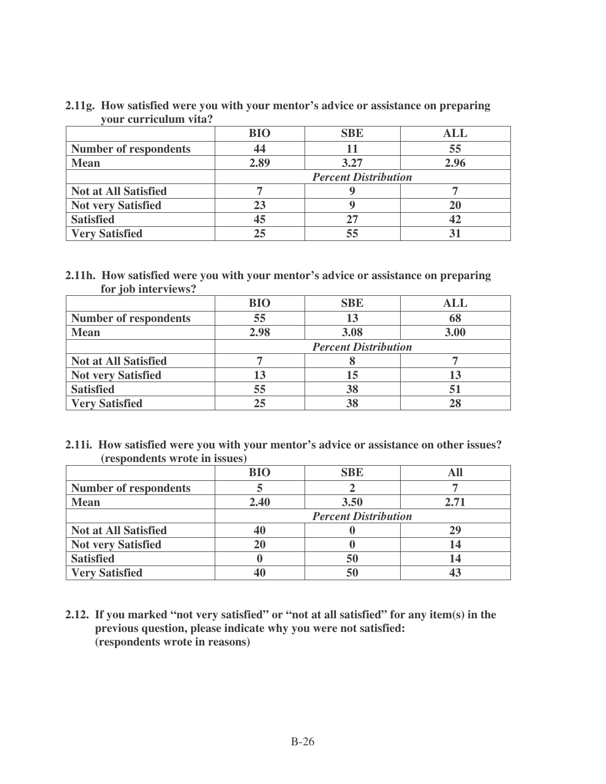| 2.11g. How satisfied were you with your mentor's advice or assistance on preparing |
|------------------------------------------------------------------------------------|
| your curriculum vita?                                                              |

|                              | <b>BIO</b>                  | <b>SBE</b> | <b>ALL</b> |
|------------------------------|-----------------------------|------------|------------|
| <b>Number of respondents</b> | 44                          |            | 55         |
| <b>Mean</b>                  | 2.89                        | 3.27       | 2.96       |
|                              | <b>Percent Distribution</b> |            |            |
| <b>Not at All Satisfied</b>  |                             |            |            |
| <b>Not very Satisfied</b>    | 23                          |            |            |
| <b>Satisfied</b>             | 45                          | 27         |            |
| <b>Very Satisfied</b>        | 25                          | 55         |            |

#### **2.11h. How satisfied were you with your mentor's advice or assistance on preparing for job interviews?**

|                              | <b>BIO</b>                  | <b>SBE</b> | ALL  |
|------------------------------|-----------------------------|------------|------|
| <b>Number of respondents</b> | 55                          | 13         |      |
| <b>Mean</b>                  | 2.98                        | 3.08       | 3.00 |
|                              | <b>Percent Distribution</b> |            |      |
| <b>Not at All Satisfied</b>  |                             |            |      |
| <b>Not very Satisfied</b>    | 13                          | 15         |      |
| <b>Satisfied</b>             | 55                          | 38         |      |
| <b>Very Satisfied</b>        | 25                          | 38         |      |

#### **2.11i. How satisfied were you with your mentor's advice or assistance on other issues? (respondents wrote in issues)**

|                              | <b>BIO</b>                  | <b>SBE</b> |      |
|------------------------------|-----------------------------|------------|------|
| <b>Number of respondents</b> |                             |            |      |
| <b>Mean</b>                  | 2.40                        | 3.50       | 2.71 |
|                              | <b>Percent Distribution</b> |            |      |
| <b>Not at All Satisfied</b>  | 40                          |            | 29   |
| <b>Not very Satisfied</b>    | <b>20</b>                   |            |      |
| <b>Satisfied</b>             |                             | 50         |      |
| <b>Very Satisfied</b>        |                             | 50         |      |

**2.12. If you marked "not very satisfied" or "not at all satisfied" for any item(s) in the previous question, please indicate why you were not satisfied: (respondents wrote in reasons)**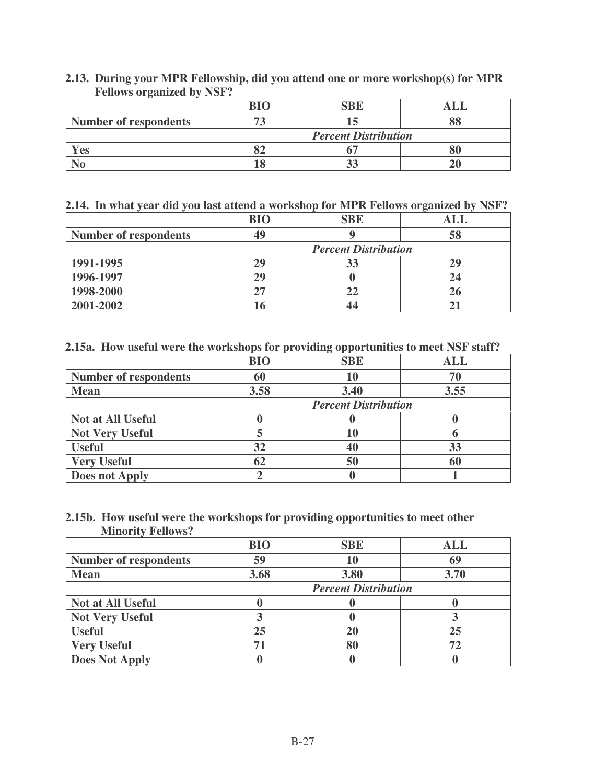|                              | <b>BIO</b>                  | SBE |  |
|------------------------------|-----------------------------|-----|--|
| <b>Number of respondents</b> |                             |     |  |
|                              | <b>Percent Distribution</b> |     |  |
| Yes                          |                             |     |  |
|                              |                             |     |  |

#### **2.13. During your MPR Fellowship, did you attend one or more workshop(s) for MPR Fellows organized by NSF?**

## **2.14. In what year did you last attend a workshop for MPR Fellows organized by NSF?**

|                              | <b>BIO</b> | <b>SBE</b>                  | ALI |
|------------------------------|------------|-----------------------------|-----|
| <b>Number of respondents</b> | 49         |                             | 58  |
|                              |            | <b>Percent Distribution</b> |     |
| 1991-1995                    | 29         | 33                          | 29  |
| 1996-1997                    | 29         |                             |     |
| 1998-2000                    |            | 22                          |     |
| 2001-2002                    |            |                             |     |

## **2.15a. How useful were the workshops for providing opportunities to meet NSF staff?**

|                              | <b>BIO</b> | <b>SBE</b>                  | <b>ALL</b> |
|------------------------------|------------|-----------------------------|------------|
| <b>Number of respondents</b> | 60         | 10                          |            |
| <b>Mean</b>                  | 3.58       | 3.40                        | 3.55       |
|                              |            | <b>Percent Distribution</b> |            |
| <b>Not at All Useful</b>     |            |                             |            |
| <b>Not Very Useful</b>       |            | 10                          |            |
| <b>Useful</b>                | 32         | 40                          | 33         |
| <b>Very Useful</b>           | 62         | 50                          |            |
| <b>Does not Apply</b>        |            |                             |            |

#### **2.15b. How useful were the workshops for providing opportunities to meet other Minority Fellows?**

|                              | <b>BIO</b> | <b>SBE</b>                  | ALL  |
|------------------------------|------------|-----------------------------|------|
| <b>Number of respondents</b> | 59         | 10                          | 69   |
| <b>Mean</b>                  | 3.68       | 3.80                        | 3.70 |
|                              |            | <b>Percent Distribution</b> |      |
| <b>Not at All Useful</b>     |            |                             |      |
| <b>Not Very Useful</b>       |            |                             |      |
| <b>Useful</b>                | 25         | 20                          | 25   |
| <b>Very Useful</b>           | 71         | 80                          |      |
| <b>Does Not Apply</b>        |            |                             |      |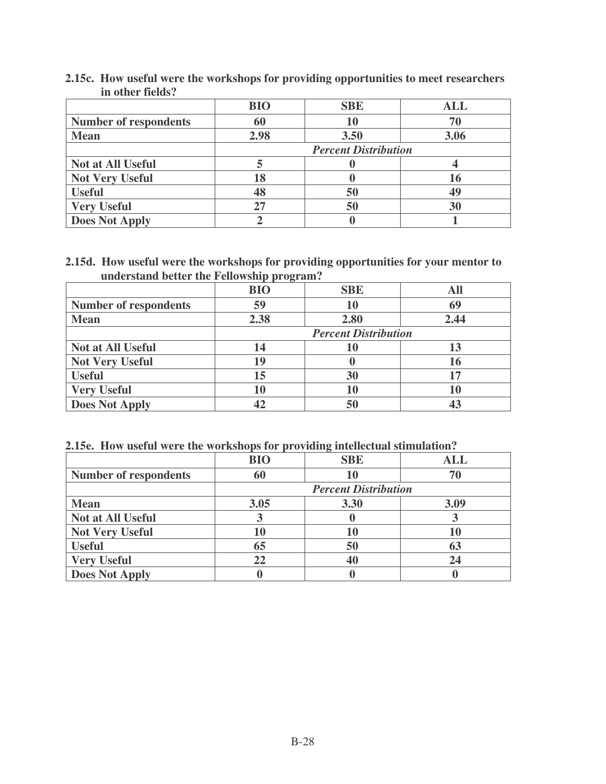|                              | <b>BIO</b> | <b>SBE</b>                  | <b>ALL</b> |
|------------------------------|------------|-----------------------------|------------|
| <b>Number of respondents</b> | 60         | 10                          | 70         |
| <b>Mean</b>                  | 2.98       | 3.50                        | 3.06       |
|                              |            | <b>Percent Distribution</b> |            |
| <b>Not at All Useful</b>     |            |                             |            |
| <b>Not Very Useful</b>       | 18         |                             |            |
| <b>Useful</b>                | 48         | 50                          | 49         |
| <b>Very Useful</b>           | 27         | 50                          | 30         |
| <b>Does Not Apply</b>        |            |                             |            |

**2.15c. How useful were the workshops for providing opportunities to meet researchers in other fields?**

**2.15d. How useful were the workshops for providing opportunities for your mentor to understand better the Fellowship program?**

|                              | .<br><b>BIO</b> | <b>SBE</b>                  | All  |
|------------------------------|-----------------|-----------------------------|------|
| <b>Number of respondents</b> | 59              | 10                          | 69   |
| <b>Mean</b>                  | 2.38            | 2.80                        | 2.44 |
|                              |                 | <b>Percent Distribution</b> |      |
| Not at All Useful            | 14              | 10                          |      |
| <b>Not Very Useful</b>       | 19              |                             | 16   |
| <b>Useful</b>                | 15              | 30                          |      |
| <b>Very Useful</b>           | 10              | 10                          |      |
| <b>Does Not Apply</b>        |                 | 50                          |      |

## **2.15e. How useful were the workshops for providing intellectual stimulation?**

|                              | <b>BIO</b> | <b>SBE</b>                  | <b>ALL</b> |  |
|------------------------------|------------|-----------------------------|------------|--|
| <b>Number of respondents</b> | 60         | 10                          |            |  |
|                              |            | <b>Percent Distribution</b> |            |  |
| <b>Mean</b>                  | 3.05       | 3.30                        | 3.09       |  |
| <b>Not at All Useful</b>     |            |                             |            |  |
| <b>Not Very Useful</b>       | 10         | 10                          |            |  |
| <b>Useful</b>                | 65         | 50                          | 63         |  |
| <b>Very Useful</b>           | 22         | 40                          |            |  |
| <b>Does Not Apply</b>        |            |                             |            |  |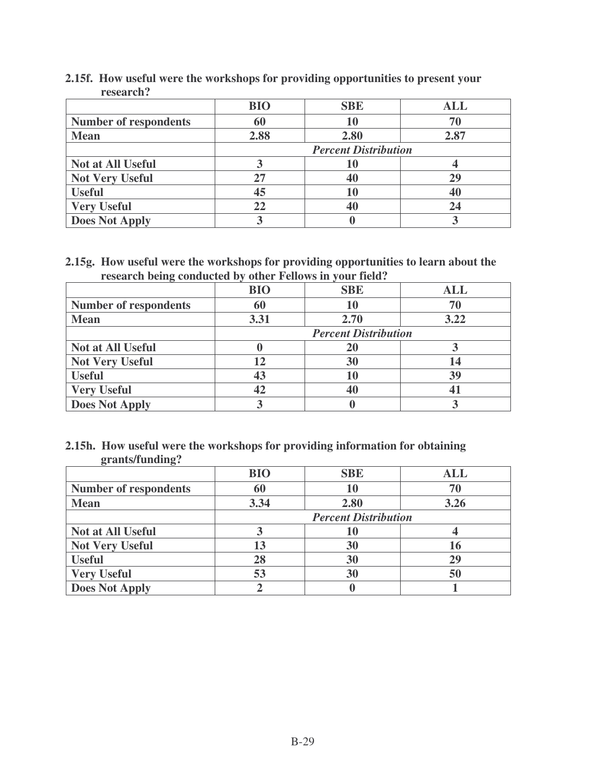|                              | <b>BIO</b>                  | <b>SBE</b> | <b>ALL</b> |
|------------------------------|-----------------------------|------------|------------|
| <b>Number of respondents</b> | 60                          | 10         | 70         |
| <b>Mean</b>                  | 2.88                        | 2.80       | 2.87       |
|                              | <b>Percent Distribution</b> |            |            |
| <b>Not at All Useful</b>     |                             | 10         |            |
| <b>Not Very Useful</b>       | 27                          | 40         | 29         |
| <b>Useful</b>                | 45                          | 10         | 40         |
| <b>Very Useful</b>           | 22                          | 40         |            |
| <b>Does Not Apply</b>        |                             |            |            |

**2.15f. How useful were the workshops for providing opportunities to present your research?**

**2.15g. How useful were the workshops for providing opportunities to learn about the research being conducted by other Fellows in your field?**

| ິ                            |                             |            |            |
|------------------------------|-----------------------------|------------|------------|
|                              | <b>BIO</b>                  | <b>SBE</b> | <b>ALL</b> |
| <b>Number of respondents</b> | 60                          | 10         |            |
| <b>Mean</b>                  | 3.31                        | 2.70       | 3.22       |
|                              | <b>Percent Distribution</b> |            |            |
| <b>Not at All Useful</b>     |                             | 20         |            |
| <b>Not Very Useful</b>       | 12                          | 30         |            |
| <b>Useful</b>                | 43                          | 10         | 39         |
| <b>Very Useful</b>           | 42                          | 40         |            |
| <b>Does Not Apply</b>        |                             |            |            |

#### **2.15h. How useful were the workshops for providing information for obtaining grants/funding?**

| ິ                            | <b>BIO</b>                  | <b>SBE</b> | <b>ALL</b> |
|------------------------------|-----------------------------|------------|------------|
| <b>Number of respondents</b> | 60                          | 10         | 70         |
| <b>Mean</b>                  | 3.34                        | 2.80       | 3.26       |
|                              | <b>Percent Distribution</b> |            |            |
| <b>Not at All Useful</b>     |                             | 10         |            |
| <b>Not Very Useful</b>       | 13                          | 30         | 16         |
| <b>Useful</b>                | 28                          | 30         | 29         |
| <b>Very Useful</b>           | 53                          | 30         | 50         |
| <b>Does Not Apply</b>        |                             |            |            |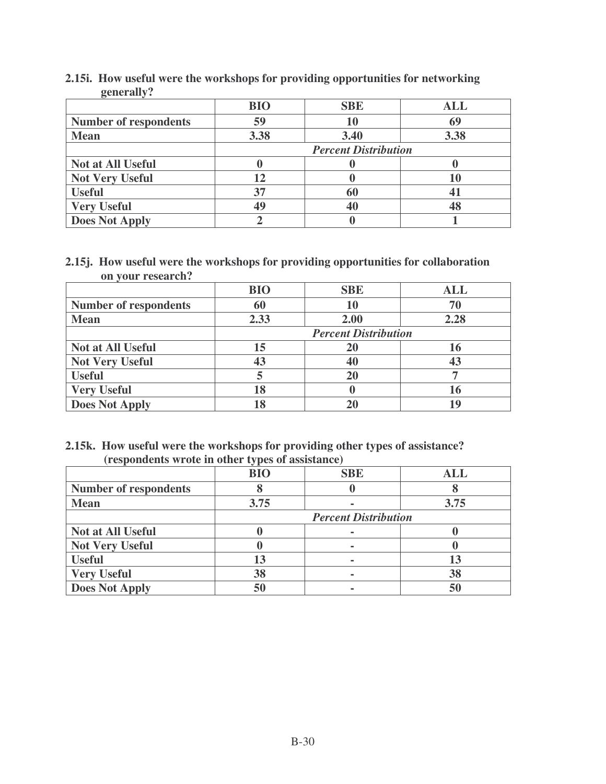|                              | <b>BIO</b>                  | <b>SBE</b> | <b>ALL</b> |
|------------------------------|-----------------------------|------------|------------|
| <b>Number of respondents</b> | 59                          | 10         | 69         |
| <b>Mean</b>                  | 3.38                        | 3.40       | 3.38       |
|                              | <b>Percent Distribution</b> |            |            |
| <b>Not at All Useful</b>     |                             |            |            |
| <b>Not Very Useful</b>       | 12                          |            |            |
| <b>Useful</b>                | 37                          | 60         |            |
| <b>Very Useful</b>           | 49                          | 40         | 48         |
| <b>Does Not Apply</b>        |                             |            |            |

**2.15i. How useful were the workshops for providing opportunities for networking generally?**

**2.15j. How useful were the workshops for providing opportunities for collaboration on your research?**

|                              | <b>BIO</b>                  | <b>SBE</b> | <b>ALL</b> |
|------------------------------|-----------------------------|------------|------------|
| <b>Number of respondents</b> | 60                          | 10         | 70         |
| <b>Mean</b>                  | 2.33                        | 2.00       | 2.28       |
|                              | <b>Percent Distribution</b> |            |            |
| <b>Not at All Useful</b>     | 15                          | 20         |            |
| <b>Not Very Useful</b>       | 43                          | 40         |            |
| <b>Useful</b>                |                             | 20         |            |
| <b>Very Useful</b>           | 18                          |            |            |
| <b>Does Not Apply</b>        | 18                          |            |            |

**2.15k. How useful were the workshops for providing other types of assistance? (respondents wrote in other types of assistance)**

|                              | $\sim$ $\blacksquare$<br><b>BIO</b> | <b>SBE</b> | <b>ALL</b> |
|------------------------------|-------------------------------------|------------|------------|
| <b>Number of respondents</b> |                                     |            |            |
| <b>Mean</b>                  | 3.75                                |            | 3.75       |
|                              | <b>Percent Distribution</b>         |            |            |
| <b>Not at All Useful</b>     |                                     |            |            |
| <b>Not Very Useful</b>       |                                     |            |            |
| <b>Useful</b>                | 13                                  |            |            |
| <b>Very Useful</b>           | 38                                  |            | 38         |
| <b>Does Not Apply</b>        | 50                                  |            | 50         |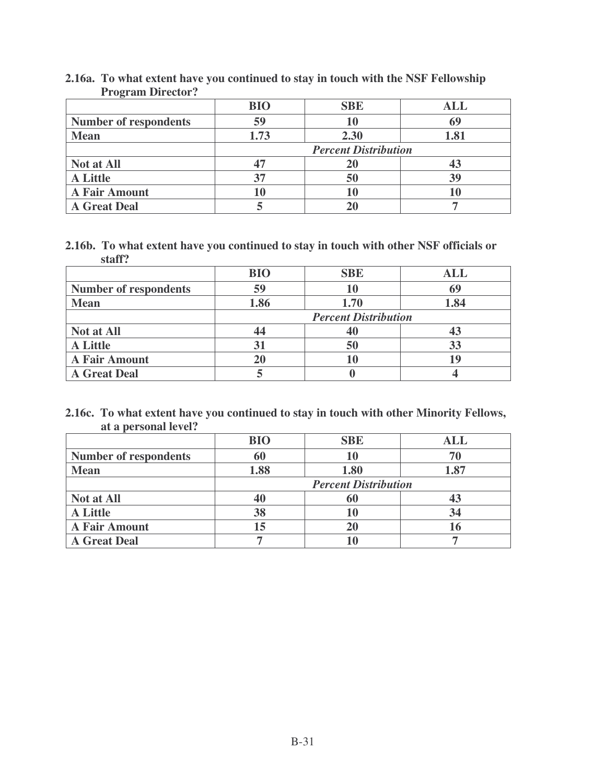|                              | <b>BIO</b>                  | <b>SBE</b> | <b>ALL</b> |
|------------------------------|-----------------------------|------------|------------|
| <b>Number of respondents</b> | 59                          | 10         | 69         |
| <b>Mean</b>                  | 1.73                        | 2.30       | 1.81       |
|                              | <b>Percent Distribution</b> |            |            |
| Not at All                   | 47                          | 20         |            |
| <b>A</b> Little              | 37                          | 50         | 39         |
| <b>A Fair Amount</b>         | 10                          | 10         |            |
| <b>A Great Deal</b>          |                             |            |            |

**2.16a. To what extent have you continued to stay in touch with the NSF Fellowship Program Director?**

**2.16b. To what extent have you continued to stay in touch with other NSF officials or staff?**

|                              | <b>BIO</b>                  | <b>SBE</b> | <b>ALL</b> |
|------------------------------|-----------------------------|------------|------------|
| <b>Number of respondents</b> | 59                          | 10         | 69         |
| <b>Mean</b>                  | 1.86                        | 1.70       | 1.84       |
|                              | <b>Percent Distribution</b> |            |            |
| Not at All                   | 44                          |            |            |
| <b>A</b> Little              | 31                          | 50         | 33         |
| <b>A Fair Amount</b>         | 20                          | 10         |            |
| <b>A Great Deal</b>          |                             |            |            |

**2.16c. To what extent have you continued to stay in touch with other Minority Fellows, at a personal level?**

|                              | <b>BIO</b>                  | <b>SBE</b> | <b>ALL</b> |
|------------------------------|-----------------------------|------------|------------|
| <b>Number of respondents</b> | 60                          | 10         |            |
| <b>Mean</b>                  | 1.88                        | 1.80       | 1.87       |
|                              | <b>Percent Distribution</b> |            |            |
| Not at All                   | 40                          | 60         |            |
| <b>A Little</b>              | 38                          | 10         | 34         |
| <b>A Fair Amount</b>         | 15                          |            |            |
| <b>A Great Deal</b>          |                             |            |            |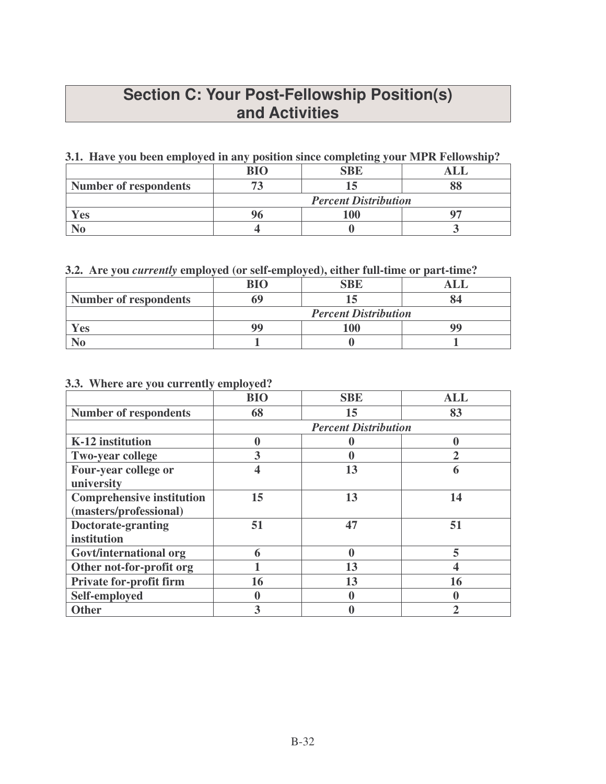## **Section C: Your Post-Fellowship Position(s) and Activities**

## **3.1. Have you been employed in any position since completing your MPR Fellowship?**

|                              | <b>RIO</b>                  | SBE |  |
|------------------------------|-----------------------------|-----|--|
| <b>Number of respondents</b> |                             |     |  |
|                              | <b>Percent Distribution</b> |     |  |
| $7$ es                       |                             | 100 |  |
|                              |                             |     |  |

## **3.2. Are you** *currently* **employed (or self-employed), either full-time or part-time?**

|                              | <b>BIO</b>                  | <b>SBE</b> |  |
|------------------------------|-----------------------------|------------|--|
| <b>Number of respondents</b> |                             |            |  |
|                              | <b>Percent Distribution</b> |            |  |
| c <sub>s</sub>               | QG                          | 100        |  |
|                              |                             |            |  |

## **3.3. Where are you currently employed?**

|                                  | <b>BIO</b> | <b>SBE</b>                  | <b>ALL</b> |
|----------------------------------|------------|-----------------------------|------------|
| <b>Number of respondents</b>     | 68         | 15                          | 83         |
|                                  |            | <b>Percent Distribution</b> |            |
| K-12 institution                 | 0          |                             |            |
| <b>Two-year college</b>          | 3          |                             |            |
| Four-year college or             | 4          | 13                          |            |
| university                       |            |                             |            |
| <b>Comprehensive institution</b> | 15         | 13                          | 14         |
| (masters/professional)           |            |                             |            |
| Doctorate-granting               | 51         | 47                          | 51         |
| institution                      |            |                             |            |
| Govt/international org           | 6          | $\boldsymbol{0}$            | 5          |
| Other not-for-profit org         |            | 13                          |            |
| <b>Private for-profit firm</b>   | 16         | 13                          | 16         |
| Self-employed                    | 0          |                             |            |
| <b>Other</b>                     | 3          |                             |            |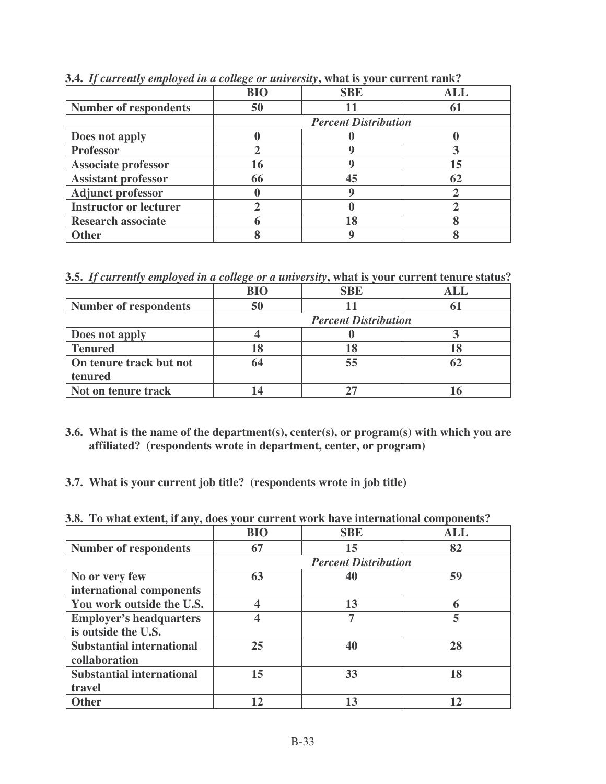|                               | <b>BIO</b> | <b>SBE</b>                  | ALL |
|-------------------------------|------------|-----------------------------|-----|
| <b>Number of respondents</b>  | 50         |                             |     |
|                               |            | <b>Percent Distribution</b> |     |
| Does not apply                |            |                             |     |
| <b>Professor</b>              |            |                             |     |
| <b>Associate professor</b>    | 16         |                             | 15  |
| <b>Assistant professor</b>    | 66         | 45                          |     |
| <b>Adjunct professor</b>      |            |                             |     |
| <b>Instructor or lecturer</b> |            |                             |     |
| <b>Research associate</b>     |            | 18                          |     |
| <b>Other</b>                  |            |                             |     |

**3.4.** *If currently employed in a college or university***, what is your current rank?**

**3.5.** *If currently employed in a college or a university***, what is your current tenure status?**

|                              | <b>BIO</b> | <b>SBE</b>                  | <b>ALL</b> |
|------------------------------|------------|-----------------------------|------------|
| <b>Number of respondents</b> | 50         |                             |            |
|                              |            | <b>Percent Distribution</b> |            |
| Does not apply               |            |                             |            |
| <b>Tenured</b>               | 18         | 18                          |            |
| On tenure track but not      | 64         | 55                          |            |
| tenured                      |            |                             |            |
| Not on tenure track          |            |                             |            |

- **3.6. What is the name of the department(s), center(s), or program(s) with which you are affiliated? (respondents wrote in department, center, or program)**
- **3.7. What is your current job title? (respondents wrote in job title)**

**3.8. To what extent, if any, does your current work have international components?**

|                                  | <b>BIO</b> | <b>SBE</b>                  | <b>ALL</b> |
|----------------------------------|------------|-----------------------------|------------|
| <b>Number of respondents</b>     | 67         | 15                          | 82         |
|                                  |            | <b>Percent Distribution</b> |            |
| No or very few                   | 63         | 40                          | 59         |
| international components         |            |                             |            |
| You work outside the U.S.        |            | 13                          |            |
| <b>Employer's headquarters</b>   |            | 7                           | 5          |
| is outside the U.S.              |            |                             |            |
| <b>Substantial international</b> | 25         | 40                          | 28         |
| collaboration                    |            |                             |            |
| <b>Substantial international</b> | 15         | 33                          | 18         |
| travel                           |            |                             |            |
| <b>Other</b>                     | 12         | 13                          | 12         |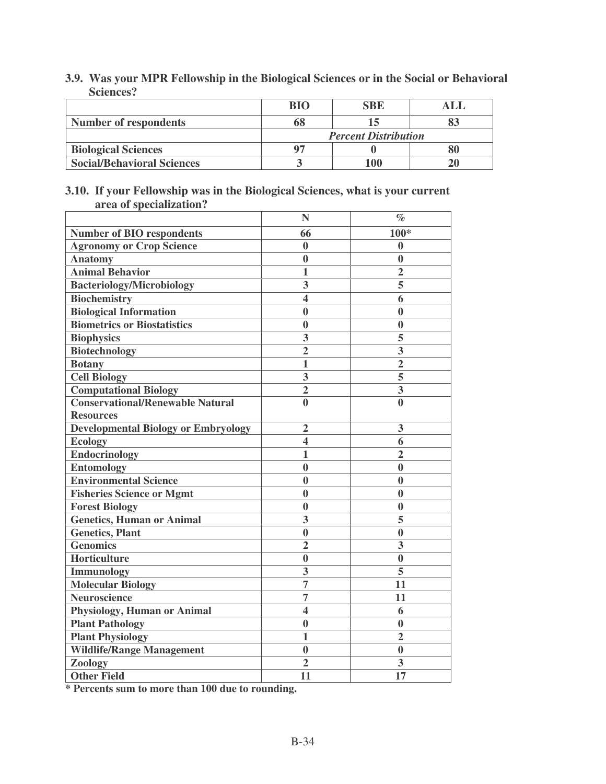| 3.9. Was your MPR Fellowship in the Biological Sciences or in the Social or Behavioral |
|----------------------------------------------------------------------------------------|
| Sciences?                                                                              |

|                                   | BIO | <b>SBE</b>                  | ALI |
|-----------------------------------|-----|-----------------------------|-----|
| <b>Number of respondents</b>      |     |                             |     |
|                                   |     | <b>Percent Distribution</b> |     |
| <b>Biological Sciences</b>        |     |                             |     |
| <b>Social/Behavioral Sciences</b> |     | 100                         |     |

#### **3.10. If your Fellowship was in the Biological Sciences, what is your current area of specialization?**  $\overline{\phantom{a}}$

|                                            | N                       | $\%$                    |
|--------------------------------------------|-------------------------|-------------------------|
| <b>Number of BIO respondents</b>           | 66                      | 100*                    |
| <b>Agronomy or Crop Science</b>            | $\bf{0}$                | 0                       |
| <b>Anatomy</b>                             | $\bf{0}$                | $\bf{0}$                |
| <b>Animal Behavior</b>                     | $\mathbf{1}$            | $\overline{2}$          |
| <b>Bacteriology/Microbiology</b>           | 3                       | 5                       |
| <b>Biochemistry</b>                        | $\overline{\mathbf{4}}$ | 6                       |
| <b>Biological Information</b>              | $\boldsymbol{0}$        | $\bf{0}$                |
| <b>Biometrics or Biostatistics</b>         | $\bf{0}$                | $\bf{0}$                |
| <b>Biophysics</b>                          | 3                       | 5                       |
| <b>Biotechnology</b>                       | $\overline{2}$          | $\overline{\mathbf{3}}$ |
| <b>Botany</b>                              | $\mathbf{1}$            | $\overline{2}$          |
| <b>Cell Biology</b>                        | 3                       | 5                       |
| <b>Computational Biology</b>               | $\overline{2}$          | $\overline{\mathbf{3}}$ |
| <b>Conservational/Renewable Natural</b>    | $\bf{0}$                | $\overline{\mathbf{0}}$ |
| <b>Resources</b>                           |                         |                         |
| <b>Developmental Biology or Embryology</b> | $\overline{2}$          | 3                       |
| <b>Ecology</b>                             | $\overline{\mathbf{4}}$ | 6                       |
| <b>Endocrinology</b>                       | $\mathbf{1}$            | $\overline{2}$          |
| <b>Entomology</b>                          | $\bf{0}$                | $\bf{0}$                |
| <b>Environmental Science</b>               | $\bf{0}$                | $\bf{0}$                |
| <b>Fisheries Science or Mgmt</b>           | $\bf{0}$                | $\bf{0}$                |
| <b>Forest Biology</b>                      | $\bf{0}$                | $\bf{0}$                |
| <b>Genetics, Human or Animal</b>           | 3                       | 5                       |
| <b>Genetics, Plant</b>                     | $\bf{0}$                | $\bf{0}$                |
| <b>Genomics</b>                            | $\overline{2}$          | 3                       |
| Horticulture                               | $\bf{0}$                | $\bf{0}$                |
| <b>Immunology</b>                          | 3                       | 5                       |
| <b>Molecular Biology</b>                   | $\overline{7}$          | 11                      |
| <b>Neuroscience</b>                        | $\overline{7}$          | 11                      |
| Physiology, Human or Animal                | $\overline{\mathbf{4}}$ | 6                       |
| <b>Plant Pathology</b>                     | $\bf{0}$                | $\bf{0}$                |
| <b>Plant Physiology</b>                    | 1                       | $\overline{2}$          |
| <b>Wildlife/Range Management</b>           | $\bf{0}$                | $\bf{0}$                |
| Zoology                                    | $\overline{2}$          | 3                       |
| <b>Other Field</b>                         | 11                      | 17                      |

**\* Percents sum to more than 100 due to rounding.**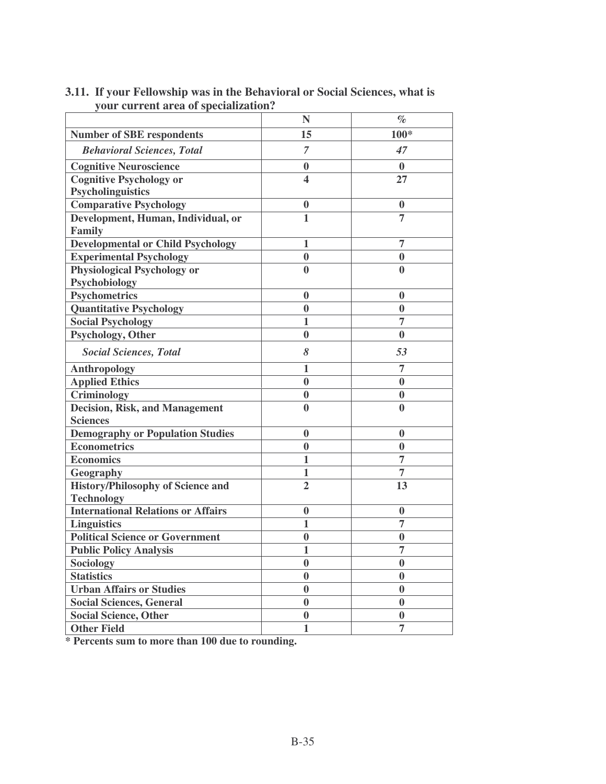|                                           | N                | $\%$             |
|-------------------------------------------|------------------|------------------|
| <b>Number of SBE respondents</b>          | 15               | $100*$           |
| <b>Behavioral Sciences, Total</b>         | $\overline{7}$   | 47               |
| <b>Cognitive Neuroscience</b>             | $\boldsymbol{0}$ | $\mathbf{0}$     |
| <b>Cognitive Psychology or</b>            | 4                | 27               |
| <b>Psycholinguistics</b>                  |                  |                  |
| <b>Comparative Psychology</b>             | $\boldsymbol{0}$ | $\boldsymbol{0}$ |
| Development, Human, Individual, or        | $\mathbf{1}$     | 7                |
| Family                                    |                  |                  |
| <b>Developmental or Child Psychology</b>  | 1                | 7                |
| <b>Experimental Psychology</b>            | $\bf{0}$         | $\bf{0}$         |
| <b>Physiological Psychology or</b>        | $\bf{0}$         | $\bf{0}$         |
| Psychobiology                             |                  |                  |
| <b>Psychometrics</b>                      | $\bf{0}$         | $\bf{0}$         |
| <b>Quantitative Psychology</b>            | $\bf{0}$         | $\boldsymbol{0}$ |
| <b>Social Psychology</b>                  | 1                | 7                |
| Psychology, Other                         | $\bf{0}$         | $\bf{0}$         |
| <b>Social Sciences, Total</b>             | 8                | 53               |
| <b>Anthropology</b>                       | 1                | 7                |
| <b>Applied Ethics</b>                     | $\bf{0}$         | $\mathbf{0}$     |
| Criminology                               | $\boldsymbol{0}$ | $\bf{0}$         |
| <b>Decision, Risk, and Management</b>     | $\bf{0}$         | $\bf{0}$         |
| <b>Sciences</b>                           |                  |                  |
| <b>Demography or Population Studies</b>   | $\boldsymbol{0}$ | $\boldsymbol{0}$ |
| <b>Econometrics</b>                       | $\bf{0}$         | $\bf{0}$         |
| <b>Economics</b>                          | $\mathbf{1}$     | $\overline{7}$   |
| Geography                                 | $\mathbf{1}$     | $\overline{7}$   |
| <b>History/Philosophy of Science and</b>  | $\overline{2}$   | 13               |
| <b>Technology</b>                         |                  |                  |
| <b>International Relations or Affairs</b> | $\boldsymbol{0}$ | $\boldsymbol{0}$ |
| <b>Linguistics</b>                        | 1                | $\overline{7}$   |
| <b>Political Science or Government</b>    | $\bf{0}$         | $\bf{0}$         |
| <b>Public Policy Analysis</b>             | $\mathbf{1}$     | $\overline{7}$   |
| <b>Sociology</b>                          | $\boldsymbol{0}$ | $\bf{0}$         |
| <b>Statistics</b>                         | $\bf{0}$         | $\bf{0}$         |
| <b>Urban Affairs or Studies</b>           | $\bf{0}$         | $\bf{0}$         |
| <b>Social Sciences, General</b>           | $\bf{0}$         | $\bf{0}$         |
| <b>Social Science, Other</b>              | $\bf{0}$         | $\bf{0}$         |
| <b>Other Field</b>                        | $\mathbf{1}$     | $\overline{7}$   |
|                                           |                  |                  |

## **3.11. If your Fellowship was in the Behavioral or Social Sciences, what is your current area of specialization?**

**\* Percents sum to more than 100 due to rounding.**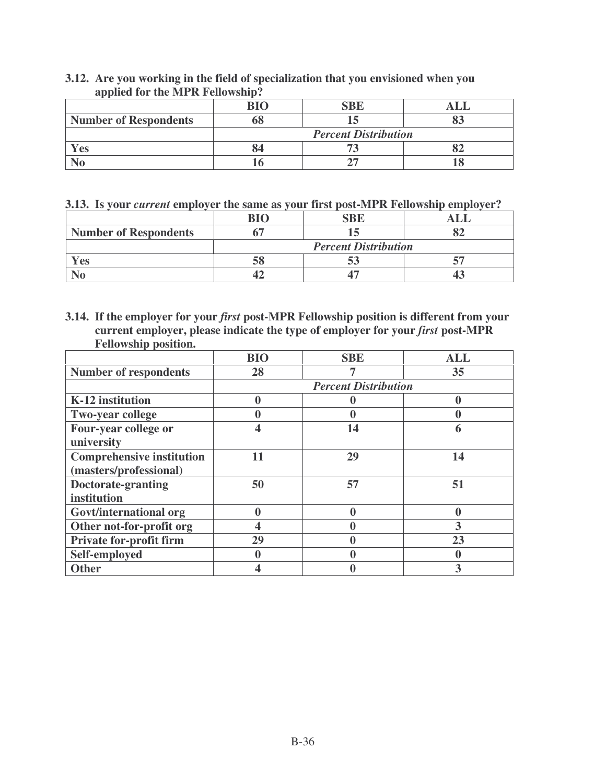|                              | $\mathbf{R}$ I $\Omega$     | <b>SBE</b> |  |
|------------------------------|-----------------------------|------------|--|
| <b>Number of Respondents</b> | DŌ                          |            |  |
|                              | <b>Percent Distribution</b> |            |  |
| Yes                          | 84                          |            |  |
|                              |                             |            |  |

## **3.12. Are you working in the field of specialization that you envisioned when you applied for the MPR Fellowship?**

**3.13. Is your** *current* **employer the same as your first post-MPR Fellowship employer?**

|                              | RIO |                             |  |
|------------------------------|-----|-----------------------------|--|
| <b>Number of Respondents</b> |     |                             |  |
|                              |     | <b>Percent Distribution</b> |  |
| <b>es</b>                    |     |                             |  |
|                              |     |                             |  |

**3.14. If the employer for your** *first* **post-MPR Fellowship position is different from your current employer, please indicate the type of employer for your** *first* **post-MPR Fellowship position.**

|                                  | <b>BIO</b> | <b>SBE</b>                  | <b>ALL</b> |  |  |
|----------------------------------|------------|-----------------------------|------------|--|--|
| <b>Number of respondents</b>     | 28         |                             | 35         |  |  |
|                                  |            | <b>Percent Distribution</b> |            |  |  |
| K-12 institution                 | 0          |                             |            |  |  |
| <b>Two-year college</b>          |            |                             |            |  |  |
| Four-year college or             |            | 14                          | 6          |  |  |
| university                       |            |                             |            |  |  |
| <b>Comprehensive institution</b> | 11         | 29                          | 14         |  |  |
| (masters/professional)           |            |                             |            |  |  |
| Doctorate-granting               | 50         | 57                          | 51         |  |  |
| institution                      |            |                             |            |  |  |
| Govt/international org           | N          |                             |            |  |  |
| Other not-for-profit org         |            |                             | 3          |  |  |
| <b>Private for-profit firm</b>   | 29         |                             | 23         |  |  |
| Self-employed                    |            |                             |            |  |  |
| <b>Other</b>                     |            |                             |            |  |  |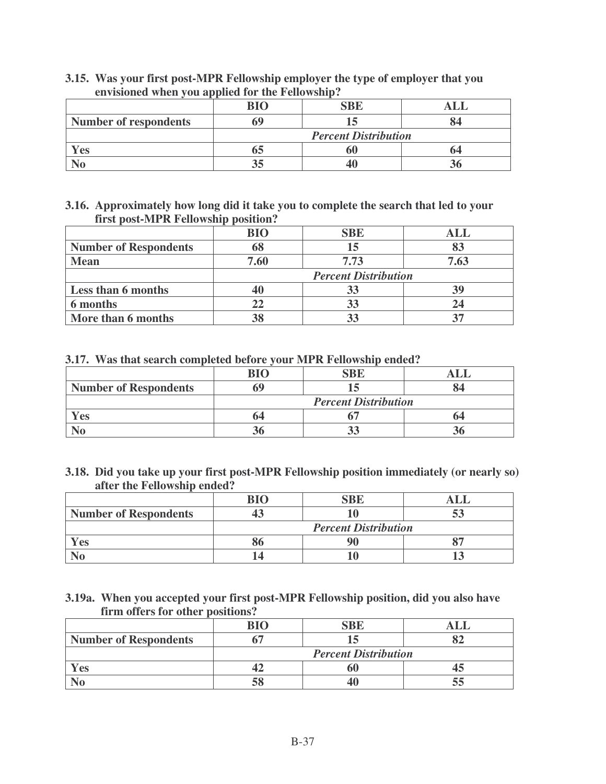|                              | BIO                         | <b>SBE</b> |  |
|------------------------------|-----------------------------|------------|--|
| <b>Number of respondents</b> |                             |            |  |
|                              | <b>Percent Distribution</b> |            |  |
| Yes                          | 03                          | 60         |  |
|                              | 35                          |            |  |

**3.15. Was your first post-MPR Fellowship employer the type of employer that you envisioned when you applied for the Fellowship?**

#### **3.16. Approximately how long did it take you to complete the search that led to your first post-MPR Fellowship position?**

|                              | <b>BIO</b>                  | <b>SBE</b> | ALL  |
|------------------------------|-----------------------------|------------|------|
| <b>Number of Respondents</b> | 68                          | 15         |      |
| <b>Mean</b>                  | 7.60                        | 7.73       | 7.63 |
|                              | <b>Percent Distribution</b> |            |      |
| <b>Less than 6 months</b>    | 40                          | 33         |      |
| 6 months                     | 22                          | 33         |      |
| More than 6 months           | 38                          |            |      |

**3.17. Was that search completed before your MPR Fellowship ended?**

|                              | $\mathbf{R}$ I $\Omega$     | $R$ $R$ |  |
|------------------------------|-----------------------------|---------|--|
| <b>Number of Respondents</b> | hY                          |         |  |
|                              | <b>Percent Distribution</b> |         |  |
| <b>Yes</b>                   | 64                          |         |  |
|                              |                             |         |  |

**3.18. Did you take up your first post-MPR Fellowship position immediately (or nearly so) after the Fellowship ended?**

|                              | RЮ                          |  |  |
|------------------------------|-----------------------------|--|--|
| <b>Number of Respondents</b> |                             |  |  |
|                              | <b>Percent Distribution</b> |  |  |
| Yes                          |                             |  |  |
|                              |                             |  |  |

**3.19a. When you accepted your first post-MPR Fellowship position, did you also have firm offers for other positions?**

|                              | <b>RIO</b>                  |  |  |
|------------------------------|-----------------------------|--|--|
| <b>Number of Respondents</b> |                             |  |  |
|                              | <b>Percent Distribution</b> |  |  |
| Yes                          |                             |  |  |
|                              |                             |  |  |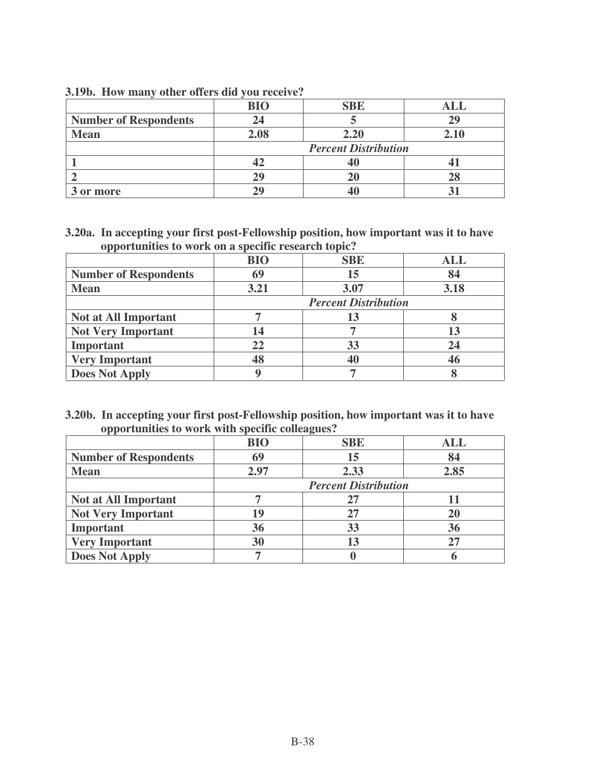|                              | BIO                         | <b>SBE</b> |      |
|------------------------------|-----------------------------|------------|------|
| <b>Number of Respondents</b> | 24                          |            | 29   |
| <b>Mean</b>                  | 2.08                        | 2.20       | 2.10 |
|                              | <b>Percent Distribution</b> |            |      |
|                              |                             |            |      |
|                              |                             |            |      |
| 3 or more                    |                             |            |      |

#### **3.19b. How many other offers did you receive?**

**3.20a. In accepting your first post-Fellowship position, how important was it to have opportunities to work on a specific research topic?**

|                              | <b>BIO</b>                  | <b>SBE</b> | ALL  |
|------------------------------|-----------------------------|------------|------|
| <b>Number of Respondents</b> | 69                          | 15         | 84   |
| <b>Mean</b>                  | 3.21                        | 3.07       | 3.18 |
|                              | <b>Percent Distribution</b> |            |      |
| <b>Not at All Important</b>  |                             |            |      |
| <b>Not Very Important</b>    | 14                          |            | 13   |
| Important                    | 22                          | 33         | 24   |
| <b>Very Important</b>        |                             |            | 46   |
| <b>Does Not Apply</b>        |                             |            |      |

#### **3.20b. In accepting your first post-Fellowship position, how important was it to have opportunities to work with specific colleagues?**

|                              | <b>BIO</b>                  | <b>SBE</b> | <b>ALL</b> |
|------------------------------|-----------------------------|------------|------------|
| <b>Number of Respondents</b> | 69                          | 15         | 84         |
| <b>Mean</b>                  | 2.97                        | 2.33       | 2.85       |
|                              | <b>Percent Distribution</b> |            |            |
| <b>Not at All Important</b>  |                             | 27         |            |
| <b>Not Very Important</b>    | 19                          | 27         | 20         |
| Important                    | 36                          | 33         | 36         |
| <b>Very Important</b>        | 30                          | 13         | 27         |
| <b>Does Not Apply</b>        |                             |            |            |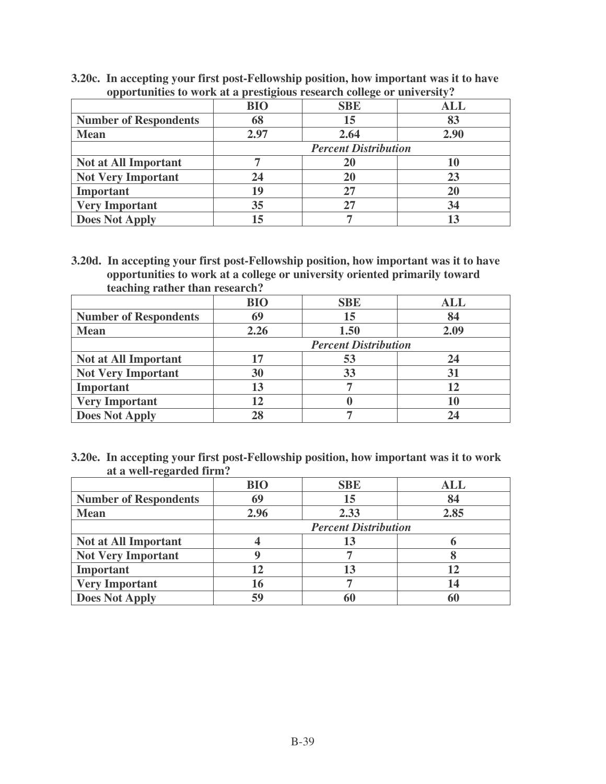|                              | <b>BIO</b>                  | <b>SBE</b> | ALL  |
|------------------------------|-----------------------------|------------|------|
| <b>Number of Respondents</b> | 68                          | 15         | 83   |
| <b>Mean</b>                  | 2.97                        | 2.64       | 2.90 |
|                              | <b>Percent Distribution</b> |            |      |
| <b>Not at All Important</b>  |                             |            | 10   |
| <b>Not Very Important</b>    | 24                          |            | 23   |
| Important                    | 19                          | 27         | 20   |
| <b>Very Important</b>        | 35                          | 27         | 34   |
| <b>Does Not Apply</b>        | 15                          |            |      |

**3.20c. In accepting your first post-Fellowship position, how important was it to have opportunities to work at a prestigious research college or university?**

**3.20d. In accepting your first post-Fellowship position, how important was it to have opportunities to work at a college or university oriented primarily toward teaching rather than research?**

|                              | <b>BIO</b> | <b>SBE</b>                  | ALL  |
|------------------------------|------------|-----------------------------|------|
| <b>Number of Respondents</b> | 69         | 15                          | 84   |
| <b>Mean</b>                  | 2.26       | 1.50                        | 2.09 |
|                              |            | <b>Percent Distribution</b> |      |
| <b>Not at All Important</b>  | 17         | 53                          | 24   |
| <b>Not Very Important</b>    | 30         | 33                          | 31   |
| Important                    | 13         |                             | 12   |
| <b>Very Important</b>        | 12         |                             |      |
| <b>Does Not Apply</b>        |            |                             |      |

**3.20e. In accepting your first post-Fellowship position, how important was it to work at a well-regarded firm?**

|                              | <b>BIO</b> | <b>SBE</b>                  | ALL  |
|------------------------------|------------|-----------------------------|------|
| <b>Number of Respondents</b> | 69         | 15                          | 84   |
| <b>Mean</b>                  | 2.96       | 2.33                        | 2.85 |
|                              |            | <b>Percent Distribution</b> |      |
| <b>Not at All Important</b>  |            |                             |      |
| <b>Not Very Important</b>    |            |                             |      |
| Important                    |            |                             |      |
| <b>Very Important</b>        | 16         |                             | 14   |
| <b>Does Not Apply</b>        | 59         |                             |      |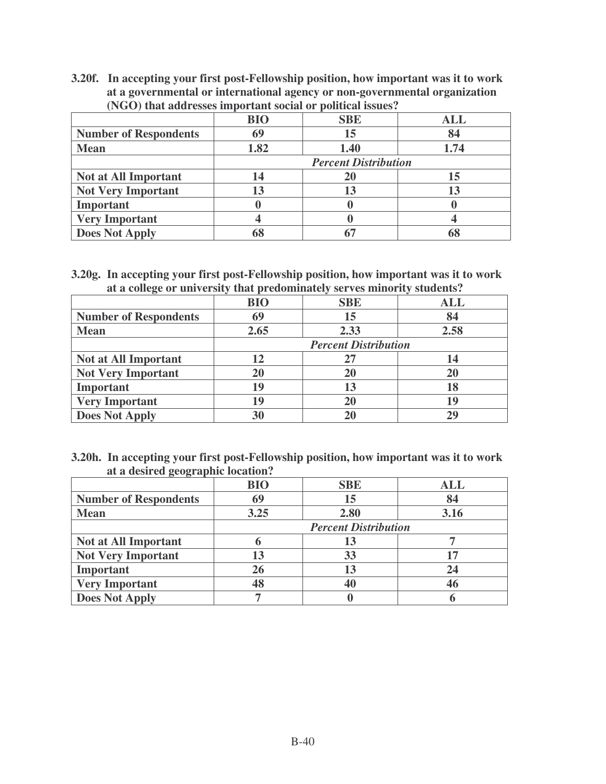**3.20f. In accepting your first post-Fellowship position, how important was it to work at a governmental or international agency or non-governmental organization (NGO) that addresses important social or political issues?**

|                              | <b>BIO</b> | <b>SBE</b>                  | ALL  |
|------------------------------|------------|-----------------------------|------|
| <b>Number of Respondents</b> | 69         | 15                          | 84   |
| <b>Mean</b>                  | 1.82       | 1.40                        | 1.74 |
|                              |            | <b>Percent Distribution</b> |      |
| <b>Not at All Important</b>  | 14         |                             | 15   |
| <b>Not Very Important</b>    | 13         |                             |      |
| Important                    |            |                             |      |
| <b>Very Important</b>        |            |                             |      |
| <b>Does Not Apply</b>        |            |                             |      |

**3.20g. In accepting your first post-Fellowship position, how important was it to work at a college or university that predominately serves minority students?**

|                              | <b>BIO</b> | <b>SBE</b>                  | <b>ALL</b> |
|------------------------------|------------|-----------------------------|------------|
| <b>Number of Respondents</b> | 69         | 15                          | 84         |
| <b>Mean</b>                  | 2.65       | 2.33                        | 2.58       |
|                              |            | <b>Percent Distribution</b> |            |
| <b>Not at All Important</b>  | 12         | 27                          |            |
| <b>Not Very Important</b>    | 20         | 20                          | 20         |
| Important                    | 19         | 13                          | 18         |
| <b>Very Important</b>        | 19         | 20                          | 19         |
| <b>Does Not Apply</b>        | 30         | 20                          | 29         |

**3.20h. In accepting your first post-Fellowship position, how important was it to work at a desired geographic location?**

|                              | <b>BIO</b>                  | <b>SBE</b> | <b>ALL</b> |
|------------------------------|-----------------------------|------------|------------|
| <b>Number of Respondents</b> | 69                          | 15         | 84         |
| <b>Mean</b>                  | 3.25                        | 2.80       | 3.16       |
|                              | <b>Percent Distribution</b> |            |            |
| <b>Not at All Important</b>  |                             | 13         |            |
| <b>Not Very Important</b>    | 13                          | 33         |            |
| Important                    | 26                          | 13         | 24         |
| <b>Very Important</b>        | 48                          | 40         | 46         |
| <b>Does Not Apply</b>        |                             |            |            |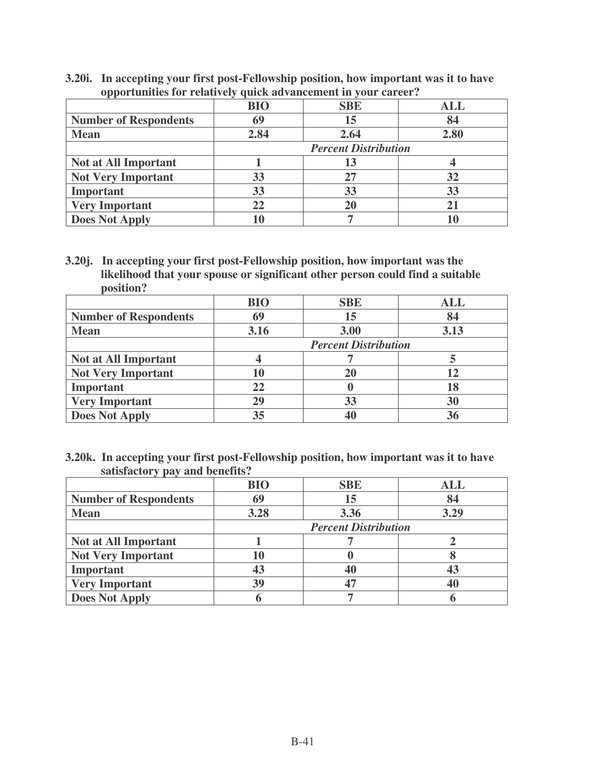**3.20i. In accepting your first post-Fellowship position, how important was it to have opportunities for relatively quick advancement in your career?**

|                              | <b>BIO</b>                  | <b>SBE</b> | <b>ALL</b> |
|------------------------------|-----------------------------|------------|------------|
| <b>Number of Respondents</b> | 69                          | 15         | 84         |
| <b>Mean</b>                  | 2.84                        | 2.64       | 2.80       |
|                              | <b>Percent Distribution</b> |            |            |
| <b>Not at All Important</b>  |                             | 13         |            |
| <b>Not Very Important</b>    | 33                          | 27         | 32         |
| Important                    | 33                          | 33         | 33         |
| <b>Very Important</b>        | 22                          | 20         |            |
| <b>Does Not Apply</b>        | 10                          |            |            |

**3.20j. In accepting your first post-Fellowship position, how important was the likelihood that your spouse or significant other person could find a suitable position?**

|                              | <b>BIO</b>                  | <b>SBE</b> | ALL  |
|------------------------------|-----------------------------|------------|------|
| <b>Number of Respondents</b> | 69                          | 15         | 84   |
| <b>Mean</b>                  | 3.16                        | 3.00       | 3.13 |
|                              | <b>Percent Distribution</b> |            |      |
| <b>Not at All Important</b>  |                             |            |      |
| <b>Not Very Important</b>    | 10                          | 20         |      |
| <b>Important</b>             | 22                          |            |      |
| <b>Very Important</b>        | 29                          | 33         | 30   |
| <b>Does Not Apply</b>        | 35                          |            |      |

**3.20k. In accepting your first post-Fellowship position, how important was it to have satisfactory pay and benefits?**

|                              | <b>BIO</b>                  | <b>SBE</b> | ALL  |
|------------------------------|-----------------------------|------------|------|
| <b>Number of Respondents</b> | 69                          | 15         | 84   |
| <b>Mean</b>                  | 3.28                        | 3.36       | 3.29 |
|                              | <b>Percent Distribution</b> |            |      |
| <b>Not at All Important</b>  |                             |            |      |
| <b>Not Very Important</b>    | 10                          |            |      |
| Important                    | 43                          | 40         |      |
| <b>Very Important</b>        | 39                          |            |      |
| <b>Does Not Apply</b>        |                             |            |      |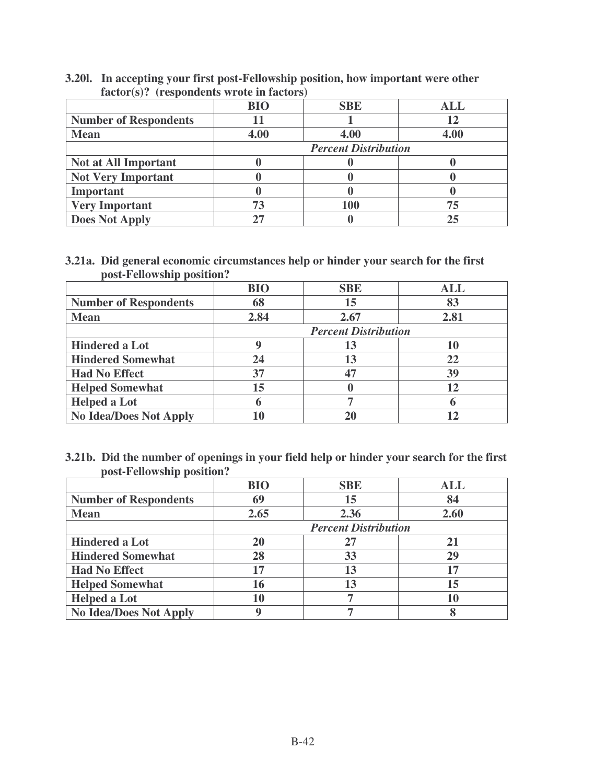#### **3.20l. In accepting your first post-Fellowship position, how important were other factor(s)? (respondents wrote in factors)**

|                              | <b>BIO</b>                  | <b>SBE</b> | <b>ALL</b> |
|------------------------------|-----------------------------|------------|------------|
| <b>Number of Respondents</b> |                             |            |            |
| <b>Mean</b>                  | 4.00                        | 4.00       | 4.00       |
|                              | <b>Percent Distribution</b> |            |            |
| <b>Not at All Important</b>  |                             |            |            |
| <b>Not Very Important</b>    |                             |            |            |
| Important                    |                             |            |            |
| <b>Very Important</b>        | 73                          | 100        | 75         |
| <b>Does Not Apply</b>        |                             |            |            |

#### **3.21a. Did general economic circumstances help or hinder your search for the first post-Fellowship position?**

|                               | <b>BIO</b> | <b>SBE</b>                  | <b>ALL</b> |  |
|-------------------------------|------------|-----------------------------|------------|--|
| <b>Number of Respondents</b>  | 68         | 15                          | 83         |  |
| <b>Mean</b>                   | 2.84       | 2.67                        | 2.81       |  |
|                               |            | <b>Percent Distribution</b> |            |  |
| <b>Hindered a Lot</b>         | g          | 13                          |            |  |
| <b>Hindered Somewhat</b>      | 24         | 13                          | 22         |  |
| <b>Had No Effect</b>          | 37         | 47                          | 39         |  |
| <b>Helped Somewhat</b>        | 15         |                             |            |  |
| <b>Helped a Lot</b>           | 6          |                             |            |  |
| <b>No Idea/Does Not Apply</b> |            |                             |            |  |

**3.21b. Did the number of openings in your field help or hinder your search for the first post-Fellowship position?**

|                               | <b>BIO</b> | <b>SBE</b>                  | <b>ALL</b> |
|-------------------------------|------------|-----------------------------|------------|
| <b>Number of Respondents</b>  | 69         | 15                          | 84         |
| <b>Mean</b>                   | 2.65       | 2.36                        | 2.60       |
|                               |            | <b>Percent Distribution</b> |            |
| <b>Hindered a Lot</b>         | 20         | 27                          |            |
| <b>Hindered Somewhat</b>      | 28         | 33                          | 29         |
| <b>Had No Effect</b>          | 17         | 13                          |            |
| <b>Helped Somewhat</b>        | 16         | 13                          | 15         |
| <b>Helped a Lot</b>           | 10         |                             |            |
| <b>No Idea/Does Not Apply</b> | q          |                             |            |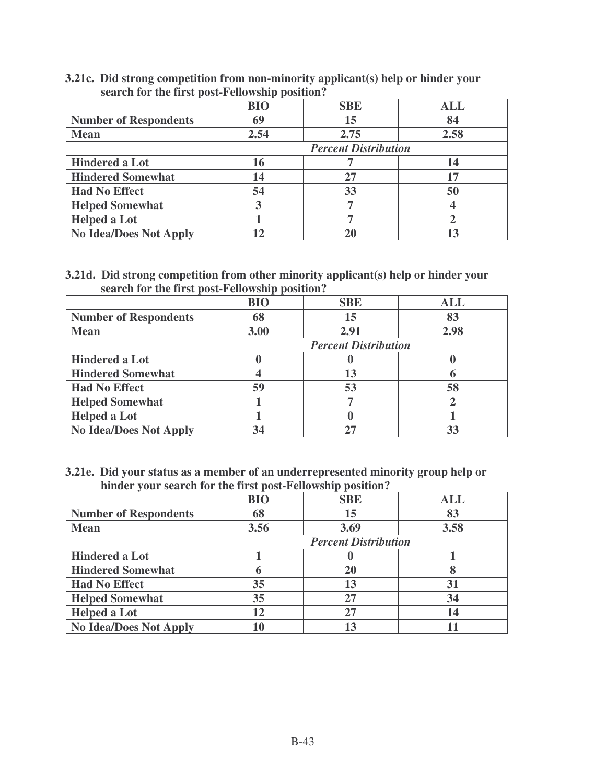| 3.21c. Did strong competition from non-minority applicant(s) help or hinder your |  |  |
|----------------------------------------------------------------------------------|--|--|
| search for the first post-Fellowship position?                                   |  |  |
|                                                                                  |  |  |

|                               | <b>BIO</b> | <b>SBE</b>                  | <b>ALL</b> |
|-------------------------------|------------|-----------------------------|------------|
| <b>Number of Respondents</b>  | 69         | 15                          | 84         |
| <b>Mean</b>                   | 2.54       | 2.75                        | 2.58       |
|                               |            | <b>Percent Distribution</b> |            |
| <b>Hindered a Lot</b>         | 16         |                             | 14         |
| <b>Hindered Somewhat</b>      | 14         | 27                          | 17         |
| <b>Had No Effect</b>          | 54         | 33                          | 50         |
| <b>Helped Somewhat</b>        |            |                             |            |
| <b>Helped a Lot</b>           |            |                             |            |
| <b>No Idea/Does Not Apply</b> |            |                             |            |

## **3.21d. Did strong competition from other minority applicant(s) help or hinder your search for the first post-Fellowship position?**

|                               | <b>BIO</b> | <b>SBE</b>                  | ALL  |  |
|-------------------------------|------------|-----------------------------|------|--|
| <b>Number of Respondents</b>  | 68         | 15                          | 83   |  |
| <b>Mean</b>                   | 3.00       | 2.91                        | 2.98 |  |
|                               |            | <b>Percent Distribution</b> |      |  |
| <b>Hindered a Lot</b>         |            |                             |      |  |
| <b>Hindered Somewhat</b>      |            | 13                          |      |  |
| <b>Had No Effect</b>          | 59         | 53                          | 58   |  |
| <b>Helped Somewhat</b>        |            |                             |      |  |
| <b>Helped a Lot</b>           |            |                             |      |  |
| <b>No Idea/Does Not Apply</b> | 34         |                             |      |  |

**3.21e. Did your status as a member of an underrepresented minority group help or hinder your search for the first post-Fellowship position?**

|                               | <b>BIO</b> | <b>SBE</b>                  | ALL  |
|-------------------------------|------------|-----------------------------|------|
| <b>Number of Respondents</b>  | 68         | 15                          | 83   |
| <b>Mean</b>                   | 3.56       | 3.69                        | 3.58 |
|                               |            | <b>Percent Distribution</b> |      |
| <b>Hindered a Lot</b>         |            |                             |      |
| <b>Hindered Somewhat</b>      | 6          | 20                          |      |
| <b>Had No Effect</b>          | 35         | 13                          | 31   |
| <b>Helped Somewhat</b>        | 35         | 27                          | 34   |
| <b>Helped a Lot</b>           | 12         | 27                          | 14   |
| <b>No Idea/Does Not Apply</b> |            | 13                          |      |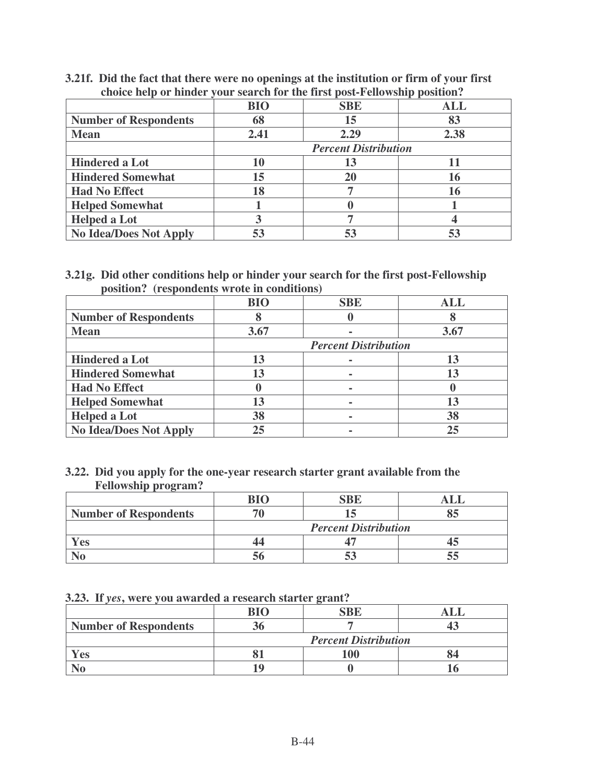| tholte help of minteel<br>Town bear on for the most poor a choriomp poblacing |            |                             |            |
|-------------------------------------------------------------------------------|------------|-----------------------------|------------|
|                                                                               | <b>BIO</b> | <b>SBE</b>                  | <b>ALL</b> |
| <b>Number of Respondents</b>                                                  | 68         | 15                          | 83         |
| <b>Mean</b>                                                                   | 2.41       | 2.29                        | 2.38       |
|                                                                               |            | <b>Percent Distribution</b> |            |
| <b>Hindered a Lot</b>                                                         | 10         | 13                          |            |
| <b>Hindered Somewhat</b>                                                      | 15         | 20                          | 16         |
| <b>Had No Effect</b>                                                          | 18         |                             | 16         |
| <b>Helped Somewhat</b>                                                        |            |                             |            |
| <b>Helped a Lot</b>                                                           |            |                             |            |
| <b>No Idea/Does Not Apply</b>                                                 | 53         |                             |            |

**3.21f. Did the fact that there were no openings at the institution or firm of your first choice help or hinder your search for the first post-Fellowship position?**

#### **3.21g. Did other conditions help or hinder your search for the first post-Fellowship position? (respondents wrote in conditions)**

|                               | <b>BIO</b> | <b>SBE</b>                  | ALL  |
|-------------------------------|------------|-----------------------------|------|
|                               |            |                             |      |
| <b>Number of Respondents</b>  |            |                             |      |
| <b>Mean</b>                   | 3.67       |                             | 3.67 |
|                               |            | <b>Percent Distribution</b> |      |
| <b>Hindered a Lot</b>         | 13         |                             |      |
| <b>Hindered Somewhat</b>      | 13         |                             |      |
| <b>Had No Effect</b>          |            |                             |      |
| <b>Helped Somewhat</b>        | 13         |                             |      |
| <b>Helped a Lot</b>           | 38         |                             | 38   |
| <b>No Idea/Does Not Apply</b> | 25         |                             | 25   |

#### **3.22. Did you apply for the one-year research starter grant available from the Fellowship program?**

| <b>Number of Respondents</b> |                             |  |  |
|------------------------------|-----------------------------|--|--|
|                              | <b>Percent Distribution</b> |  |  |
| Yes                          |                             |  |  |
|                              |                             |  |  |

|  |  |  |  |  | 3.23. If yes, were you awarded a research starter grant? |  |  |
|--|--|--|--|--|----------------------------------------------------------|--|--|
|--|--|--|--|--|----------------------------------------------------------|--|--|

|                              | RI∩                         | CDE |  |
|------------------------------|-----------------------------|-----|--|
| <b>Number of Respondents</b> |                             |     |  |
|                              | <b>Percent Distribution</b> |     |  |
| Yes                          |                             |     |  |
|                              |                             |     |  |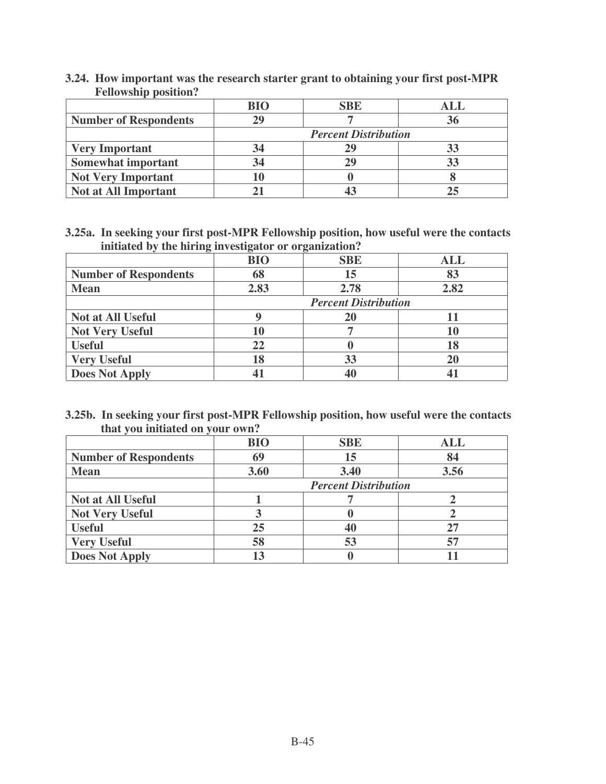|                              | BIO | <b>SBE</b>                  |    |
|------------------------------|-----|-----------------------------|----|
| <b>Number of Respondents</b> | 29  |                             | 36 |
|                              |     | <b>Percent Distribution</b> |    |
| <b>Very Important</b>        | 34  |                             |    |
| <b>Somewhat important</b>    | 34  |                             |    |
| <b>Not Very Important</b>    |     |                             |    |
| <b>Not at All Important</b>  |     |                             |    |

**3.24. How important was the research starter grant to obtaining your first post-MPR Fellowship position?**

**3.25a. In seeking your first post-MPR Fellowship position, how useful were the contacts initiated by the hiring investigator or organization?**

| ັ                            | ັ<br><b>BIO</b> | ັ<br><b>SBE</b>             | <b>ALL</b> |
|------------------------------|-----------------|-----------------------------|------------|
| <b>Number of Respondents</b> | 68              | 15                          | 83         |
| <b>Mean</b>                  | 2.83            | 2.78                        | 2.82       |
|                              |                 | <b>Percent Distribution</b> |            |
| <b>Not at All Useful</b>     |                 | 20                          |            |
| <b>Not Very Useful</b>       | 10              |                             | 10         |
| <b>Useful</b>                | 22              |                             |            |
| <b>Very Useful</b>           | 18              | 33                          |            |
| <b>Does Not Apply</b>        |                 | 40                          |            |

**3.25b. In seeking your first post-MPR Fellowship position, how useful were the contacts that you initiated on your own?**

|                              | <b>BIO</b> | <b>SBE</b>                  | ALL  |
|------------------------------|------------|-----------------------------|------|
| <b>Number of Respondents</b> | 69         | 15                          | 84   |
| <b>Mean</b>                  | 3.60       | 3.40                        | 3.56 |
|                              |            | <b>Percent Distribution</b> |      |
| <b>Not at All Useful</b>     |            |                             |      |
| <b>Not Very Useful</b>       |            |                             |      |
| <b>Useful</b>                | 25         | 40                          |      |
| <b>Very Useful</b>           | 58         | 53                          | 57   |
| <b>Does Not Apply</b>        | 13         |                             |      |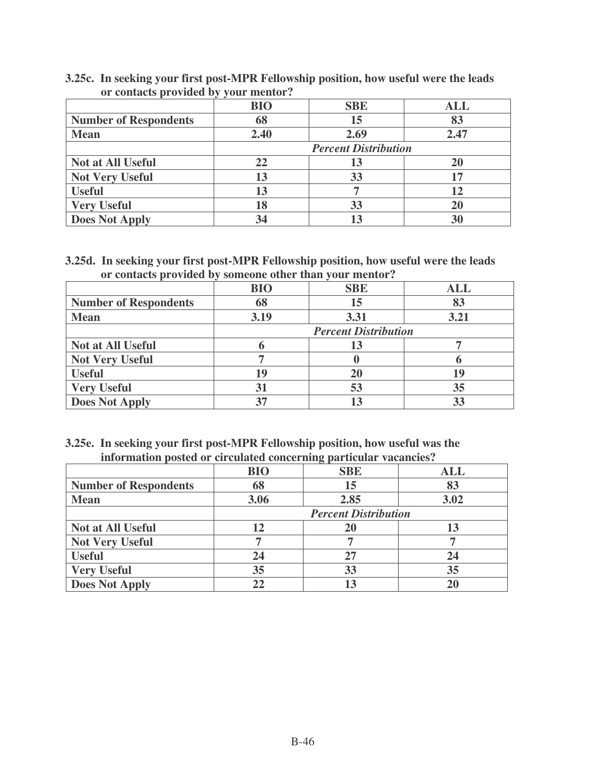|                              | <b>BIO</b> | <b>SBE</b>                  | <b>ALL</b> |
|------------------------------|------------|-----------------------------|------------|
| <b>Number of Respondents</b> | 68         | 15                          | 83         |
| <b>Mean</b>                  | 2.40       | 2.69                        | 2.47       |
|                              |            | <b>Percent Distribution</b> |            |
| <b>Not at All Useful</b>     | 22         | 13                          |            |
| <b>Not Very Useful</b>       | 13         | 33                          | 17         |
| <b>Useful</b>                | 13         |                             | 12         |
| <b>Very Useful</b>           | 18         | 33                          | 20         |
| <b>Does Not Apply</b>        | 34         |                             | 30         |

**3.25c. In seeking your first post-MPR Fellowship position, how useful were the leads or contacts provided by your mentor?**

**3.25d. In seeking your first post-MPR Fellowship position, how useful were the leads or contacts provided by someone other than your mentor?**

|                              | <b>BIO</b> | <b>SBE</b>                  | <b>ALL</b> |
|------------------------------|------------|-----------------------------|------------|
| <b>Number of Respondents</b> | 68         | 15                          | 83         |
| <b>Mean</b>                  | 3.19       | 3.31                        | 3.21       |
|                              |            | <b>Percent Distribution</b> |            |
| <b>Not at All Useful</b>     |            | 13                          |            |
| <b>Not Very Useful</b>       |            |                             |            |
| <b>Useful</b>                |            | 20                          | 19         |
| <b>Very Useful</b>           | 31         | 53                          | 35         |
| <b>Does Not Apply</b>        |            |                             |            |

**3.25e. In seeking your first post-MPR Fellowship position, how useful was the information posted or circulated concerning particular vacancies?**

|                              | <b>BIO</b> | ັ<br><b>SBE</b>             | <b>ALL</b> |
|------------------------------|------------|-----------------------------|------------|
| <b>Number of Respondents</b> | 68         | 15                          | 83         |
| <b>Mean</b>                  | 3.06       | 2.85                        | 3.02       |
|                              |            | <b>Percent Distribution</b> |            |
| <b>Not at All Useful</b>     | 12         |                             |            |
| <b>Not Very Useful</b>       |            |                             |            |
| <b>Useful</b>                | 24         | 27                          | 24         |
| <b>Very Useful</b>           | 35         | 33                          | 35         |
| <b>Does Not Apply</b>        | 22         | 13                          |            |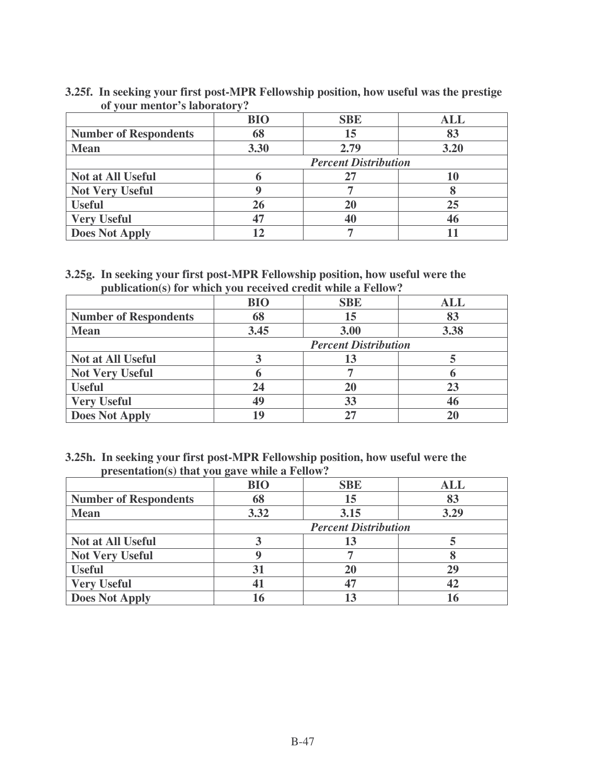|                              | <b>BIO</b> | <b>SBE</b>                  | <b>ALL</b> |
|------------------------------|------------|-----------------------------|------------|
| <b>Number of Respondents</b> | 68         | 15                          | 83         |
| <b>Mean</b>                  | 3.30       | 2.79                        | 3.20       |
|                              |            | <b>Percent Distribution</b> |            |
| <b>Not at All Useful</b>     | h          | 27                          |            |
| <b>Not Very Useful</b>       |            |                             |            |
| <b>Useful</b>                | 26         | 20                          | 25         |
| <b>Very Useful</b>           | 47         | 40                          | 46         |
| <b>Does Not Apply</b>        |            |                             |            |

## **3.25f. In seeking your first post-MPR Fellowship position, how useful was the prestige of your mentor's laboratory?**

## **3.25g. In seeking your first post-MPR Fellowship position, how useful were the publication(s) for which you received credit while a Fellow?**

|                              | $\sim$<br><b>BIO</b> | <b>SBE</b>                  | <b>ALL</b> |
|------------------------------|----------------------|-----------------------------|------------|
| <b>Number of Respondents</b> | 68                   | 15                          | 83         |
| <b>Mean</b>                  | 3.45                 | 3.00                        | 3.38       |
|                              |                      | <b>Percent Distribution</b> |            |
| <b>Not at All Useful</b>     |                      | 13                          |            |
| <b>Not Very Useful</b>       | n                    |                             |            |
| <b>Useful</b>                | 24                   | 20                          | 23         |
| <b>Very Useful</b>           | 49                   | 33                          |            |
| <b>Does Not Apply</b>        | 19                   |                             |            |

## **3.25h. In seeking your first post-MPR Fellowship position, how useful were the presentation(s) that you gave while a Fellow?**

|                              | <b>BIO</b>                  | <b>SBE</b> | <b>ALL</b> |
|------------------------------|-----------------------------|------------|------------|
| <b>Number of Respondents</b> | 68                          | 15         |            |
| <b>Mean</b>                  | 3.32                        | 3.15       | 3.29       |
|                              | <b>Percent Distribution</b> |            |            |
| <b>Not at All Useful</b>     |                             | 13         |            |
| <b>Not Very Useful</b>       |                             |            |            |
| <b>Useful</b>                | 31                          |            | 29         |
| <b>Very Useful</b>           | 41                          |            |            |
| <b>Does Not Apply</b>        | 16                          | 13         |            |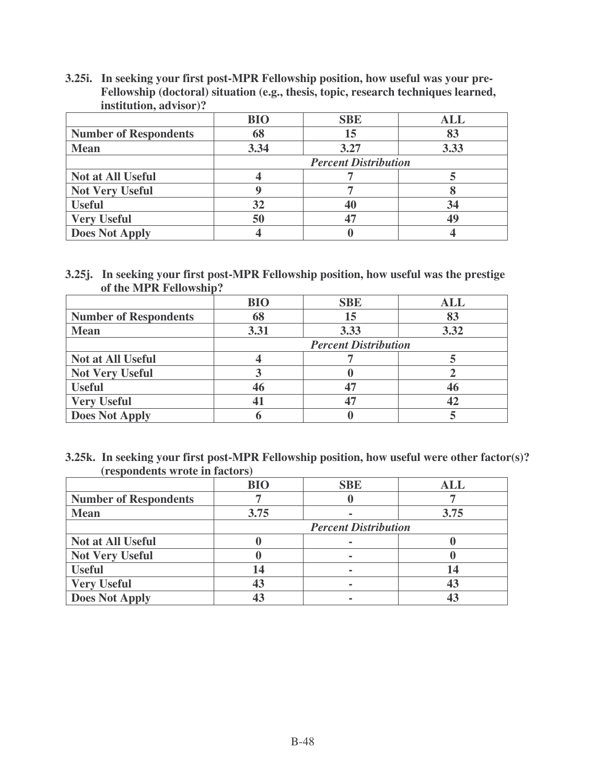**3.25i. In seeking your first post-MPR Fellowship position, how useful was your pre-Fellowship (doctoral) situation (e.g., thesis, topic, research techniques learned, institution, advisor)?**

|                              | <b>BIO</b>                  | <b>SBE</b> | <b>ALL</b> |
|------------------------------|-----------------------------|------------|------------|
| <b>Number of Respondents</b> | 68                          | 15         | 83         |
| <b>Mean</b>                  | 3.34                        | 3.27       | 3.33       |
|                              | <b>Percent Distribution</b> |            |            |
| <b>Not at All Useful</b>     |                             |            |            |
| <b>Not Very Useful</b>       |                             |            |            |
| <b>Useful</b>                | 32                          |            | 34         |
| <b>Very Useful</b>           | 50                          |            | 49         |
| <b>Does Not Apply</b>        |                             |            |            |

**3.25j. In seeking your first post-MPR Fellowship position, how useful was the prestige of the MPR Fellowship?**

|                              | <b>BIO</b>                  | <b>SBE</b> | <b>ALL</b> |
|------------------------------|-----------------------------|------------|------------|
| <b>Number of Respondents</b> | 68                          | 15         | 83         |
| <b>Mean</b>                  | 3.31                        | 3.33       | 3.32       |
|                              | <b>Percent Distribution</b> |            |            |
| <b>Not at All Useful</b>     |                             |            |            |
| <b>Not Very Useful</b>       |                             |            |            |
| <b>Useful</b>                | 46                          |            |            |
| <b>Very Useful</b>           | 41                          |            |            |
| <b>Does Not Apply</b>        |                             |            |            |

**3.25k. In seeking your first post-MPR Fellowship position, how useful were other factor(s)? (respondents wrote in factors)**

|                              | <b>BIO</b>                  | <b>SBE</b> | <b>ALL</b> |
|------------------------------|-----------------------------|------------|------------|
| <b>Number of Respondents</b> |                             |            |            |
| <b>Mean</b>                  | 3.75                        |            | 3.75       |
|                              | <b>Percent Distribution</b> |            |            |
| <b>Not at All Useful</b>     |                             |            |            |
| <b>Not Very Useful</b>       |                             |            |            |
| <b>Useful</b>                | 14                          |            |            |
| <b>Very Useful</b>           | 43                          |            |            |
| <b>Does Not Apply</b>        |                             |            |            |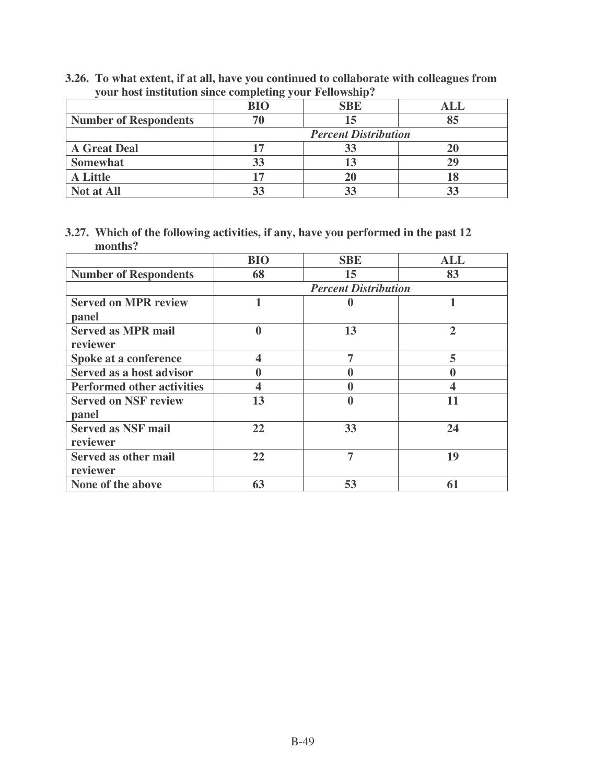| $\gamma$ our nost msututuon since compieting $\gamma$ our renowsing. |                             |            |            |
|----------------------------------------------------------------------|-----------------------------|------------|------------|
|                                                                      | <b>BIO</b>                  | <b>SBE</b> | <b>ALL</b> |
| <b>Number of Respondents</b>                                         |                             | 15         | 85         |
|                                                                      | <b>Percent Distribution</b> |            |            |
| <b>A Great Deal</b>                                                  |                             | 33         |            |
| <b>Somewhat</b>                                                      | 33                          | 13         | 29         |
| <b>A Little</b>                                                      |                             | 20         |            |
| <b>Not at All</b>                                                    |                             | 33         |            |

**3.26. To what extent, if at all, have you continued to collaborate with colleagues from your host institution since completing your Fellowship?**

#### **3.27. Which of the following activities, if any, have you performed in the past 12 months?**

|                                   | <b>BIO</b>       | <b>SBE</b>                  | ALL          |
|-----------------------------------|------------------|-----------------------------|--------------|
| <b>Number of Respondents</b>      | 68               | 15                          | 83           |
|                                   |                  | <b>Percent Distribution</b> |              |
| <b>Served on MPR review</b>       | 1                |                             |              |
| panel                             |                  |                             |              |
| <b>Served as MPR mail</b>         | $\boldsymbol{0}$ | 13                          | $\mathbf{2}$ |
| reviewer                          |                  |                             |              |
| Spoke at a conference             | 4                | 7                           | 5            |
| Served as a host advisor          | $\bf{0}$         |                             |              |
| <b>Performed other activities</b> | 4                | 0                           |              |
| <b>Served on NSF review</b>       | 13               | $\boldsymbol{0}$            | 11           |
| panel                             |                  |                             |              |
| <b>Served as NSF mail</b>         | 22               | 33                          | 24           |
| reviewer                          |                  |                             |              |
| <b>Served as other mail</b>       | 22               | 7                           | 19           |
| reviewer                          |                  |                             |              |
| None of the above                 | 63               | 53                          | 61           |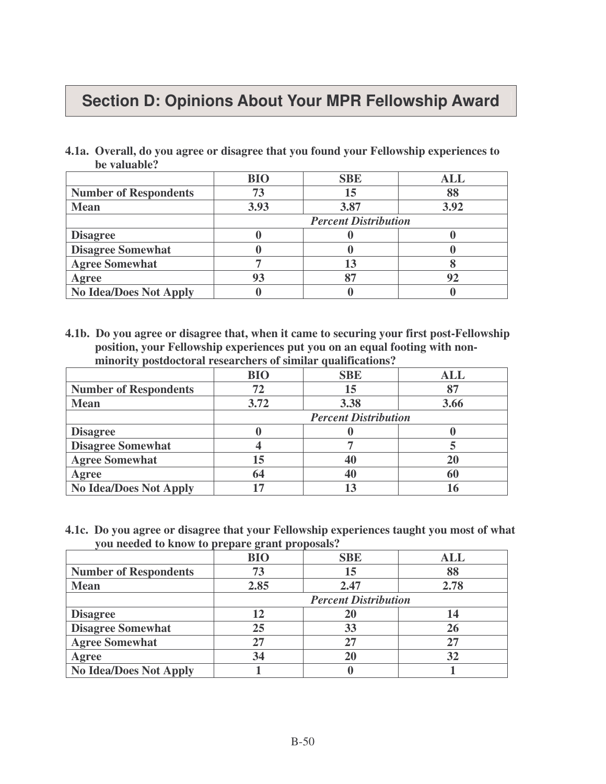## **Section D: Opinions About Your MPR Fellowship Award**

**4.1a. Overall, do you agree or disagree that you found your Fellowship experiences to be valuable?**

|                               | <b>BIO</b>                  | <b>SBE</b> | ALL  |
|-------------------------------|-----------------------------|------------|------|
| <b>Number of Respondents</b>  | 73                          | 15         | 88   |
| <b>Mean</b>                   | 3.93                        | 3.87       | 3.92 |
|                               | <b>Percent Distribution</b> |            |      |
| <b>Disagree</b>               |                             |            |      |
| <b>Disagree Somewhat</b>      |                             |            |      |
| <b>Agree Somewhat</b>         |                             | 13         |      |
| Agree                         | 93                          | 87         |      |
| <b>No Idea/Does Not Apply</b> |                             |            |      |

**4.1b. Do you agree or disagree that, when it came to securing your first post-Fellowship position, your Fellowship experiences put you on an equal footing with nonminority postdoctoral researchers of similar qualifications?**

|                               | <b>BIO</b>                  | <b>SBE</b> | ALL  |
|-------------------------------|-----------------------------|------------|------|
| <b>Number of Respondents</b>  | 72                          | 15         |      |
| <b>Mean</b>                   | 3.72                        | 3.38       | 3.66 |
|                               | <b>Percent Distribution</b> |            |      |
| <b>Disagree</b>               |                             |            |      |
| <b>Disagree Somewhat</b>      |                             |            |      |
| <b>Agree Somewhat</b>         | 15                          |            |      |
| Agree                         | 64                          |            |      |
| <b>No Idea/Does Not Apply</b> |                             |            |      |

**4.1c. Do you agree or disagree that your Fellowship experiences taught you most of what you needed to know to prepare grant proposals?**

|                               | $\circ$<br><b>BIO</b>       | <b>SBE</b> | ALL  |
|-------------------------------|-----------------------------|------------|------|
| <b>Number of Respondents</b>  | 73                          | 15         | 88   |
| <b>Mean</b>                   | 2.85                        | 2.47       | 2.78 |
|                               | <b>Percent Distribution</b> |            |      |
| <b>Disagree</b>               | 12                          | 20         |      |
| <b>Disagree Somewhat</b>      | 25                          | 33         |      |
| <b>Agree Somewhat</b>         | 27                          | 27         |      |
| Agree                         | 34                          | <b>20</b>  | 32   |
| <b>No Idea/Does Not Apply</b> |                             |            |      |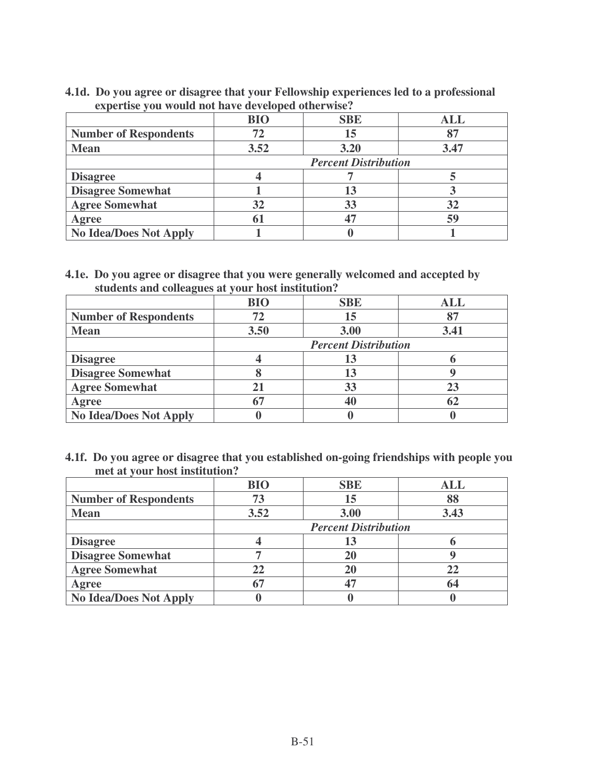#### **4.1d. Do you agree or disagree that your Fellowship experiences led to a professional expertise you would not have developed otherwise?**

|                               | <b>BIO</b>                  | <b>SBE</b> | ALL  |
|-------------------------------|-----------------------------|------------|------|
| <b>Number of Respondents</b>  | 72                          | 15         |      |
| <b>Mean</b>                   | 3.52                        | 3.20       | 3.47 |
|                               | <b>Percent Distribution</b> |            |      |
| <b>Disagree</b>               |                             |            |      |
| <b>Disagree Somewhat</b>      |                             | 13         |      |
| <b>Agree Somewhat</b>         | 32                          | 33         | 32   |
| Agree                         | 61                          |            | 59   |
| <b>No Idea/Does Not Apply</b> |                             |            |      |

## **4.1e. Do you agree or disagree that you were generally welcomed and accepted by students and colleagues at your host institution?**

|                               | <b>BIO</b> | <b>SBE</b>                  | ALL  |
|-------------------------------|------------|-----------------------------|------|
| <b>Number of Respondents</b>  | 72         | 15                          |      |
| <b>Mean</b>                   | 3.50       | 3.00                        | 3.41 |
|                               |            | <b>Percent Distribution</b> |      |
| <b>Disagree</b>               |            | 13                          |      |
| <b>Disagree Somewhat</b>      |            | 13                          |      |
| <b>Agree Somewhat</b>         | 21         | 33                          |      |
| Agree                         | 67         | 40                          | 62   |
| <b>No Idea/Does Not Apply</b> |            |                             |      |

**4.1f. Do you agree or disagree that you established on-going friendships with people you met at your host institution?**

|                               | <b>BIO</b>                  | <b>SBE</b> | ALL  |
|-------------------------------|-----------------------------|------------|------|
| <b>Number of Respondents</b>  | 73                          | 15         | 88   |
| <b>Mean</b>                   | 3.52                        | 3.00       | 3.43 |
|                               | <b>Percent Distribution</b> |            |      |
| <b>Disagree</b>               |                             | 13         |      |
| <b>Disagree Somewhat</b>      |                             | 20         |      |
| <b>Agree Somewhat</b>         | 22                          | 20         | 22   |
| Agree                         | 67                          |            | 64   |
| <b>No Idea/Does Not Apply</b> |                             |            |      |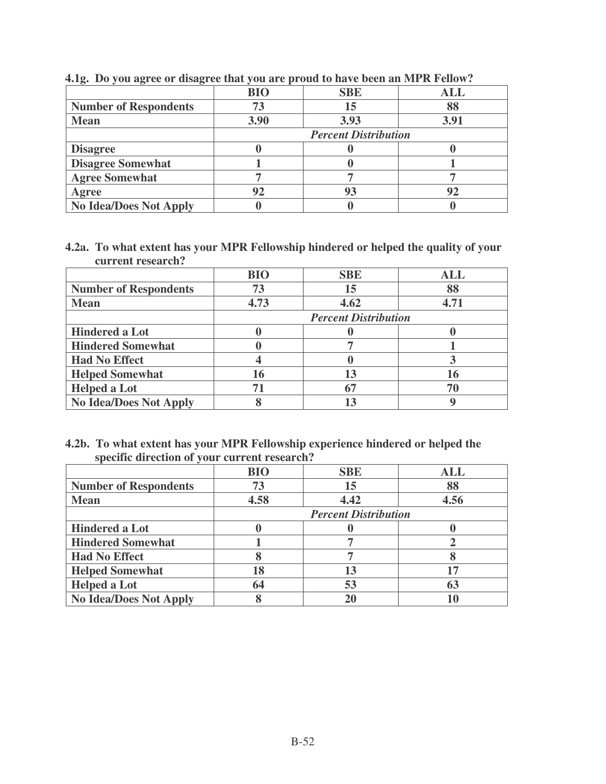|                               | <b>BIO</b>                  | <b>SBE</b> | <b>ALL</b> |
|-------------------------------|-----------------------------|------------|------------|
| <b>Number of Respondents</b>  | 73                          | 15         | 88         |
| <b>Mean</b>                   | 3.90                        | 3.93       | 3.91       |
|                               | <b>Percent Distribution</b> |            |            |
| <b>Disagree</b>               |                             |            |            |
| <b>Disagree Somewhat</b>      |                             |            |            |
| <b>Agree Somewhat</b>         |                             |            |            |
| Agree                         | 92                          | 93         |            |
| <b>No Idea/Does Not Apply</b> |                             |            |            |

**4.1g. Do you agree or disagree that you are proud to have been an MPR Fellow?**

**4.2a. To what extent has your MPR Fellowship hindered or helped the quality of your current research?**

|                               | <b>BIO</b> | <b>SBE</b>                  | ALL  |  |
|-------------------------------|------------|-----------------------------|------|--|
| <b>Number of Respondents</b>  | 73         | 15                          | 88   |  |
| <b>Mean</b>                   | 4.73       | 4.62                        | 4.71 |  |
|                               |            | <b>Percent Distribution</b> |      |  |
| <b>Hindered a Lot</b>         |            |                             |      |  |
| <b>Hindered Somewhat</b>      |            |                             |      |  |
| <b>Had No Effect</b>          |            |                             |      |  |
| <b>Helped Somewhat</b>        | 16         | 13                          | 16   |  |
| <b>Helped a Lot</b>           | 71         | 67                          | 70   |  |
| <b>No Idea/Does Not Apply</b> |            |                             |      |  |

## **4.2b. To what extent has your MPR Fellowship experience hindered or helped the specific direction of your current research?**

|                               | <b>BIO</b> | <b>SBE</b>                  | <b>ALL</b> |  |
|-------------------------------|------------|-----------------------------|------------|--|
| <b>Number of Respondents</b>  | 73         | 15                          | 88         |  |
| <b>Mean</b>                   | 4.58       | 4.42                        | 4.56       |  |
|                               |            | <b>Percent Distribution</b> |            |  |
| <b>Hindered a Lot</b>         |            |                             |            |  |
| <b>Hindered Somewhat</b>      |            |                             |            |  |
| <b>Had No Effect</b>          |            |                             |            |  |
| <b>Helped Somewhat</b>        | 18         | 13                          |            |  |
| <b>Helped a Lot</b>           | 64         | 53                          | 63         |  |
| <b>No Idea/Does Not Apply</b> |            | 20                          |            |  |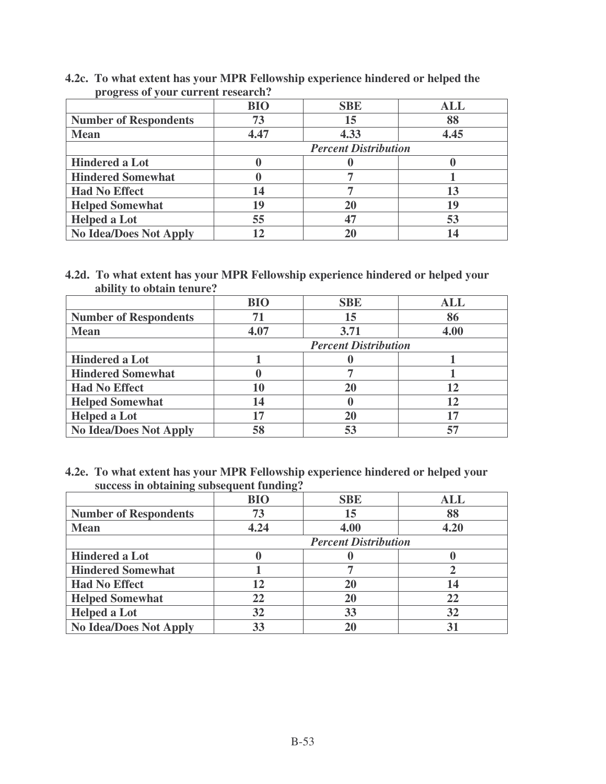| $P106100001$ your carrent research. |                             |            |            |
|-------------------------------------|-----------------------------|------------|------------|
|                                     | <b>BIO</b>                  | <b>SBE</b> | <b>ALL</b> |
| <b>Number of Respondents</b>        | 73                          | 15         | 88         |
| <b>Mean</b>                         | 4.47                        | 4.33       | 4.45       |
|                                     | <b>Percent Distribution</b> |            |            |
| <b>Hindered a Lot</b>               |                             |            |            |
| <b>Hindered Somewhat</b>            |                             |            |            |
| <b>Had No Effect</b>                | 14                          |            | 13         |
| <b>Helped Somewhat</b>              | 19                          | 20         | 19         |
| <b>Helped a Lot</b>                 | 55                          | 47         | 53         |
| <b>No Idea/Does Not Apply</b>       |                             | 20         |            |

## **4.2c. To what extent has your MPR Fellowship experience hindered or helped the progress of your current research?**

#### **4.2d. To what extent has your MPR Fellowship experience hindered or helped your ability to obtain tenure?**

|                               | <b>BIO</b> | <b>SBE</b>                  | <b>ALL</b> |  |
|-------------------------------|------------|-----------------------------|------------|--|
| <b>Number of Respondents</b>  | 71         | 15                          | 86         |  |
| <b>Mean</b>                   | 4.07       | 3.71                        | 4.00       |  |
|                               |            | <b>Percent Distribution</b> |            |  |
| <b>Hindered a Lot</b>         |            |                             |            |  |
| <b>Hindered Somewhat</b>      |            |                             |            |  |
| <b>Had No Effect</b>          | 10         | 20                          | 12         |  |
| <b>Helped Somewhat</b>        | 14         |                             |            |  |
| <b>Helped a Lot</b>           | 17         | 20                          |            |  |
| <b>No Idea/Does Not Apply</b> | 58         | 53                          |            |  |

## **4.2e. To what extent has your MPR Fellowship experience hindered or helped your success in obtaining subsequent funding?**

|                               | <b>BIO</b> | <b>SBE</b>                  | <b>ALL</b> |
|-------------------------------|------------|-----------------------------|------------|
| <b>Number of Respondents</b>  | 73         | 15                          | 88         |
| <b>Mean</b>                   | 4.24       | 4.00                        | 4.20       |
|                               |            | <b>Percent Distribution</b> |            |
| <b>Hindered a Lot</b>         |            |                             |            |
| <b>Hindered Somewhat</b>      |            |                             |            |
| <b>Had No Effect</b>          | 12         | 20                          |            |
| <b>Helped Somewhat</b>        | 22         | 20                          | 22         |
| <b>Helped a Lot</b>           | 32         | 33                          | 32         |
| <b>No Idea/Does Not Apply</b> | 33         | 20                          | 31         |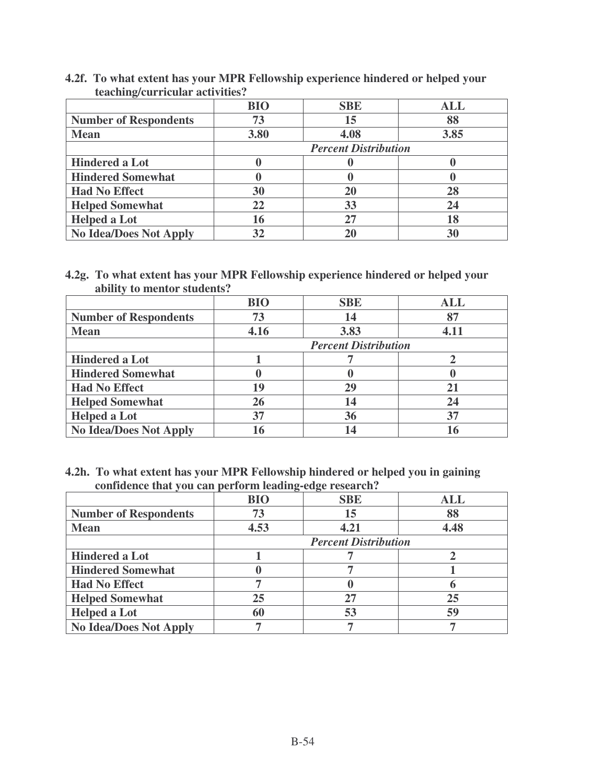|                               | <b>BIO</b> | <b>SBE</b>                  | <b>ALL</b> |  |
|-------------------------------|------------|-----------------------------|------------|--|
| <b>Number of Respondents</b>  | 73         | 15                          | 88         |  |
| <b>Mean</b>                   | 3.80       | 4.08                        | 3.85       |  |
|                               |            | <b>Percent Distribution</b> |            |  |
| <b>Hindered a Lot</b>         |            |                             |            |  |
| <b>Hindered Somewhat</b>      |            |                             |            |  |
| <b>Had No Effect</b>          | 30         | 20                          | 28         |  |
| <b>Helped Somewhat</b>        | 22         | 33                          | 24         |  |
| <b>Helped a Lot</b>           | 16         | 27                          | 18         |  |
| <b>No Idea/Does Not Apply</b> | 32         | 20                          | 30         |  |

**4.2f. To what extent has your MPR Fellowship experience hindered or helped your teaching/curricular activities?**

#### **4.2g. To what extent has your MPR Fellowship experience hindered or helped your ability to mentor students?**

|                               | <b>BIO</b> | <b>SBE</b>                  | <b>ALL</b> |  |
|-------------------------------|------------|-----------------------------|------------|--|
| <b>Number of Respondents</b>  | 73         | 14                          | 87         |  |
| <b>Mean</b>                   | 4.16       | 3.83                        | 4.11       |  |
|                               |            | <b>Percent Distribution</b> |            |  |
| <b>Hindered a Lot</b>         |            |                             |            |  |
| <b>Hindered Somewhat</b>      |            |                             |            |  |
| <b>Had No Effect</b>          | 19         | 29                          |            |  |
| <b>Helped Somewhat</b>        | 26         | 14                          | 24         |  |
| <b>Helped a Lot</b>           | 37         | 36                          | 37         |  |
| <b>No Idea/Does Not Apply</b> | 16         | 14                          |            |  |

#### **4.2h. To what extent has your MPR Fellowship hindered or helped you in gaining confidence that you can perform leading-edge research?**

|                               | <b>BIO</b> | <b>SBE</b>                  | ALL  |
|-------------------------------|------------|-----------------------------|------|
| <b>Number of Respondents</b>  | 73         | 15                          | 88   |
| <b>Mean</b>                   | 4.53       | 4.21                        | 4.48 |
|                               |            | <b>Percent Distribution</b> |      |
| <b>Hindered a Lot</b>         |            |                             |      |
| <b>Hindered Somewhat</b>      |            |                             |      |
| <b>Had No Effect</b>          |            |                             |      |
| <b>Helped Somewhat</b>        | 25         | 27                          | 25   |
| <b>Helped a Lot</b>           | 60         | 53                          | 59   |
| <b>No Idea/Does Not Apply</b> |            |                             |      |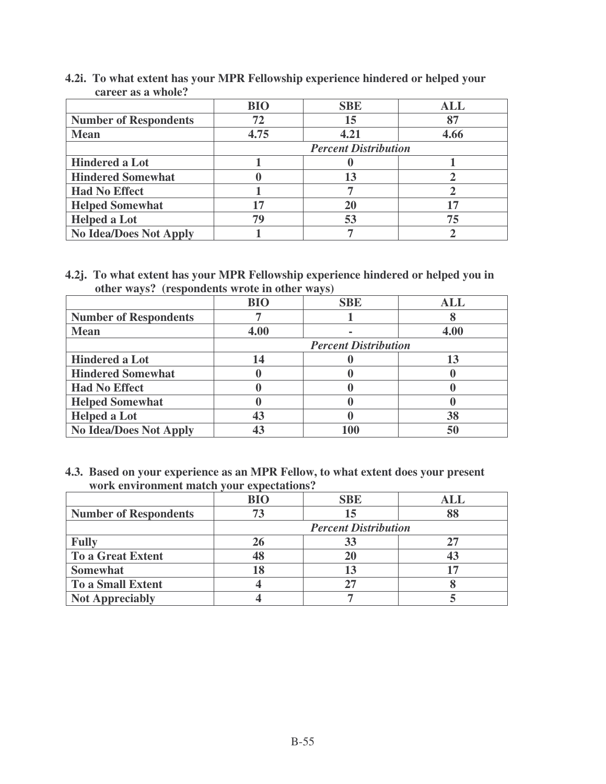|                               | <b>BIO</b> | <b>SBE</b>                  | ALL  |  |
|-------------------------------|------------|-----------------------------|------|--|
| <b>Number of Respondents</b>  | 72         | 15                          |      |  |
| <b>Mean</b>                   | 4.75       | 4.21                        | 4.66 |  |
|                               |            | <b>Percent Distribution</b> |      |  |
| <b>Hindered a Lot</b>         |            |                             |      |  |
| <b>Hindered Somewhat</b>      |            | 13                          |      |  |
| <b>Had No Effect</b>          |            |                             |      |  |
| <b>Helped Somewhat</b>        | 17         | 20                          |      |  |
| <b>Helped a Lot</b>           | 79         | 53                          | 75   |  |
| <b>No Idea/Does Not Apply</b> |            |                             |      |  |

**4.2i. To what extent has your MPR Fellowship experience hindered or helped your career as a whole?**

**4.2j. To what extent has your MPR Fellowship experience hindered or helped you in other ways? (respondents wrote in other ways)**

|                               | <b>BIO</b> | <b>SBE</b>                  | <b>ALL</b> |  |
|-------------------------------|------------|-----------------------------|------------|--|
| <b>Number of Respondents</b>  |            |                             |            |  |
| <b>Mean</b>                   | 4.00       |                             | 4.00       |  |
|                               |            | <b>Percent Distribution</b> |            |  |
| <b>Hindered a Lot</b>         | 14         |                             |            |  |
| <b>Hindered Somewhat</b>      |            |                             |            |  |
| <b>Had No Effect</b>          |            |                             |            |  |
| <b>Helped Somewhat</b>        |            |                             |            |  |
| <b>Helped a Lot</b>           | 43         |                             | 38         |  |
| <b>No Idea/Does Not Apply</b> |            | 100                         | 50         |  |

**4.3. Based on your experience as an MPR Fellow, to what extent does your present work environment match your expectations?**

|                              | <b>BIO</b> | <b>SBE</b>                  | ALL. |
|------------------------------|------------|-----------------------------|------|
| <b>Number of Respondents</b> | 73         | 15                          |      |
|                              |            | <b>Percent Distribution</b> |      |
| <b>Fully</b>                 | 26         | 33                          |      |
| <b>To a Great Extent</b>     | 48         |                             |      |
| <b>Somewhat</b>              |            | 13                          |      |
| <b>To a Small Extent</b>     |            | 27                          |      |
| <b>Not Appreciably</b>       |            |                             |      |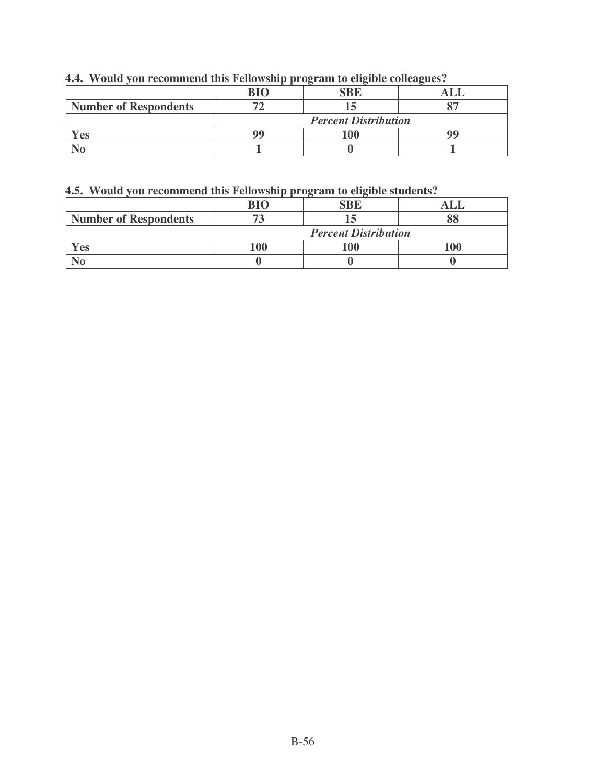|  | 4.4. Would you recommend this Fellowship program to eligible colleagues? |  |  |  |
|--|--------------------------------------------------------------------------|--|--|--|
|  |                                                                          |  |  |  |

|                              | RIC                         |  |  |  |  |  |
|------------------------------|-----------------------------|--|--|--|--|--|
| <b>Number of Respondents</b> |                             |  |  |  |  |  |
|                              | <b>Percent Distribution</b> |  |  |  |  |  |
| es                           | QC                          |  |  |  |  |  |
|                              |                             |  |  |  |  |  |

## **4.5. Would you recommend this Fellowship program to eligible students?**

|                              | RIC                         |     |  |  |  |
|------------------------------|-----------------------------|-----|--|--|--|
| <b>Number of Respondents</b> |                             |     |  |  |  |
|                              | <b>Percent Distribution</b> |     |  |  |  |
| es.                          |                             | 100 |  |  |  |
|                              |                             |     |  |  |  |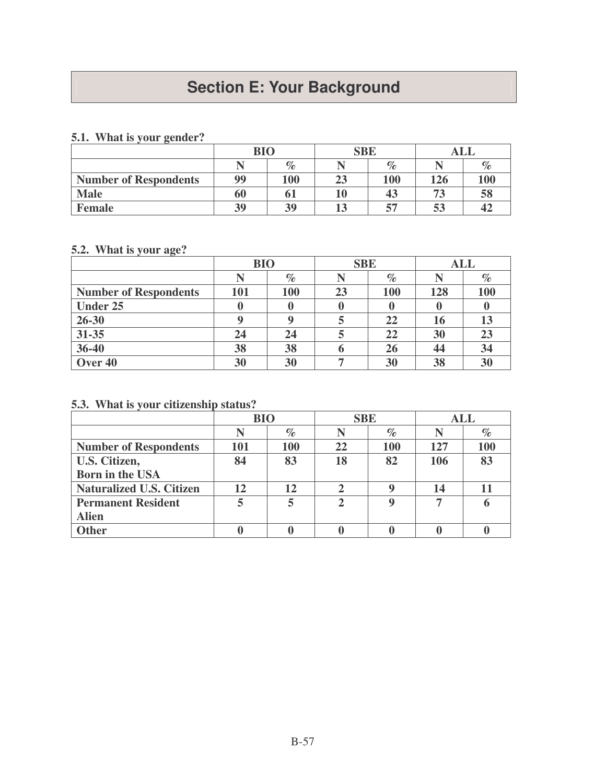# **Section E: Your Background**

## **5.1. What is your gender?**

|                              | <b>BIO</b> |      | <b>SBE</b>        |      |     |      |
|------------------------------|------------|------|-------------------|------|-----|------|
|                              |            | $\%$ |                   | $\%$ |     | $\%$ |
| <b>Number of Respondents</b> | 99         | 100  | 23                | 100  | 126 | 100  |
| <b>Male</b>                  | 60         |      | $\boldsymbol{10}$ | 43   | 73  | 58   |
| <b>Female</b>                | 39         | 39   | 13                | 57   | 53  | 42   |

## **5.2. What is your age?**

|                              | <b>BIO</b> |      | <b>SBE</b> |      | <b>ALL</b> |      |
|------------------------------|------------|------|------------|------|------------|------|
|                              |            | $\%$ |            | $\%$ |            | $\%$ |
| <b>Number of Respondents</b> | 101        | 100  | 23         | 100  | 128        | 100  |
| <b>Under 25</b>              |            |      |            |      |            |      |
| 26-30                        | a          |      |            | 22   | 16         | 13   |
| 31-35                        | 24         | 24   |            | 22   | 30         | 23   |
| 36-40                        | 38         | 38   |            | 26   | 44         | 34   |
| Over 40                      | 30         | 30   |            | 30   | 38         | 30   |

## **5.3. What is your citizenship status?**

|                                 | <b>BIO</b> |      | <b>SBE</b>  |      | <b>ALL</b> |      |
|---------------------------------|------------|------|-------------|------|------------|------|
|                                 | N          | $\%$ |             | $\%$ |            | $\%$ |
| <b>Number of Respondents</b>    | 101        | 100  | 22          | 100  | 127        | 100  |
| U.S. Citizen,                   | 84         | 83   | 18          | 82   | 106        | 83   |
| <b>Born in the USA</b>          |            |      |             |      |            |      |
| <b>Naturalized U.S. Citizen</b> | 12         | 12   |             | q    | 14         | 11   |
| <b>Permanent Resident</b>       | 5          |      | $\mathbf 2$ | Q    | ┑          |      |
| <b>Alien</b>                    |            |      |             |      |            |      |
| <b>Other</b>                    |            |      |             |      |            |      |